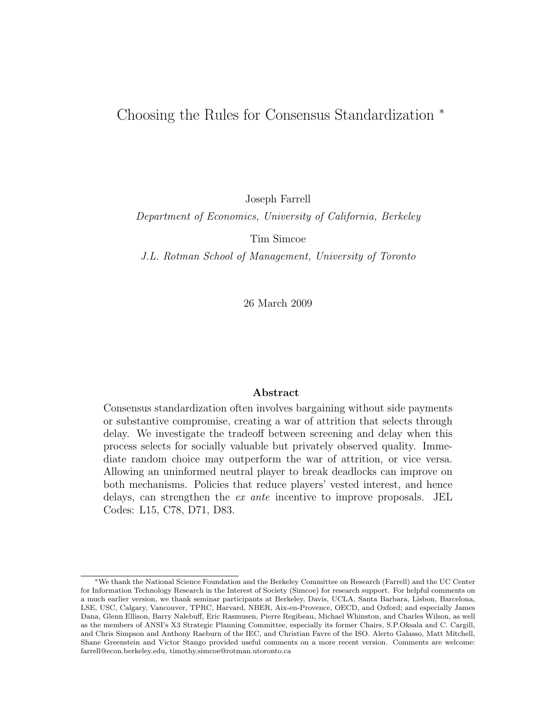# Choosing the Rules for Consensus Standardization <sup>∗</sup>

Joseph Farrell

Department of Economics, University of California, Berkeley

Tim Simcoe

J.L. Rotman School of Management, University of Toronto

26 March 2009

### Abstract

Consensus standardization often involves bargaining without side payments or substantive compromise, creating a war of attrition that selects through delay. We investigate the tradeoff between screening and delay when this process selects for socially valuable but privately observed quality. Immediate random choice may outperform the war of attrition, or vice versa. Allowing an uninformed neutral player to break deadlocks can improve on both mechanisms. Policies that reduce players' vested interest, and hence delays, can strengthen the ex ante incentive to improve proposals. JEL Codes: L15, C78, D71, D83.

<sup>∗</sup>We thank the National Science Foundation and the Berkeley Committee on Research (Farrell) and the UC Center for Information Technology Research in the Interest of Society (Simcoe) for research support. For helpful comments on a much earlier version, we thank seminar participants at Berkeley, Davis, UCLA, Santa Barbara, Lisbon, Barcelona, LSE, USC, Calgary, Vancouver, TPRC, Harvard, NBER, Aix-en-Provence, OECD, and Oxford; and especially James Dana, Glenn Ellison, Barry Nalebuff, Eric Rasmusen, Pierre Regibeau, Michael Whinston, and Charles Wilson, as well as the members of ANSI's X3 Strategic Planning Committee, especially its former Chairs, S.P.Oksala and C. Cargill, and Chris Simpson and Anthony Raeburn of the IEC, and Christian Favre of the ISO. Alerto Galasso, Matt Mitchell, Shane Greenstein and Victor Stango provided useful comments on a more recent version. Comments are welcome: farrell@econ.berkeley.edu, timothy.simcoe@rotman.utoronto.ca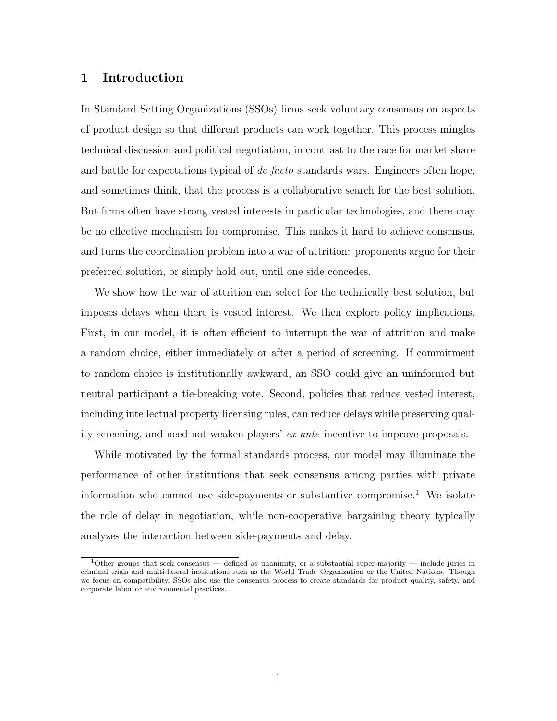# 1 Introduction

In Standard Setting Organizations (SSOs) firms seek voluntary consensus on aspects of product design so that different products can work together. This process mingles technical discussion and political negotiation, in contrast to the race for market share and battle for expectations typical of de facto standards wars. Engineers often hope, and sometimes think, that the process is a collaborative search for the best solution. But firms often have strong vested interests in particular technologies, and there may be no effective mechanism for compromise. This makes it hard to achieve consensus, and turns the coordination problem into a war of attrition: proponents argue for their preferred solution, or simply hold out, until one side concedes.

We show how the war of attrition can select for the technically best solution, but imposes delays when there is vested interest. We then explore policy implications. First, in our model, it is often efficient to interrupt the war of attrition and make a random choice, either immediately or after a period of screening. If commitment to random choice is institutionally awkward, an SSO could give an uninformed but neutral participant a tie-breaking vote. Second, policies that reduce vested interest, including intellectual property licensing rules, can reduce delays while preserving quality screening, and need not weaken players' ex ante incentive to improve proposals.

While motivated by the formal standards process, our model may illuminate the performance of other institutions that seek consensus among parties with private information who cannot use side-payments or substantive compromise.<sup>1</sup> We isolate the role of delay in negotiation, while non-cooperative bargaining theory typically analyzes the interaction between side-payments and delay.

 $1$ Other groups that seek consensus — defined as unanimity, or a substantial super-majority — include juries in criminal trials and multi-lateral institutions such as the World Trade Organization or the United Nations. Though we focus on compatibility, SSOs also use the consensus process to create standards for product quality, safety, and corporate labor or environmental practices.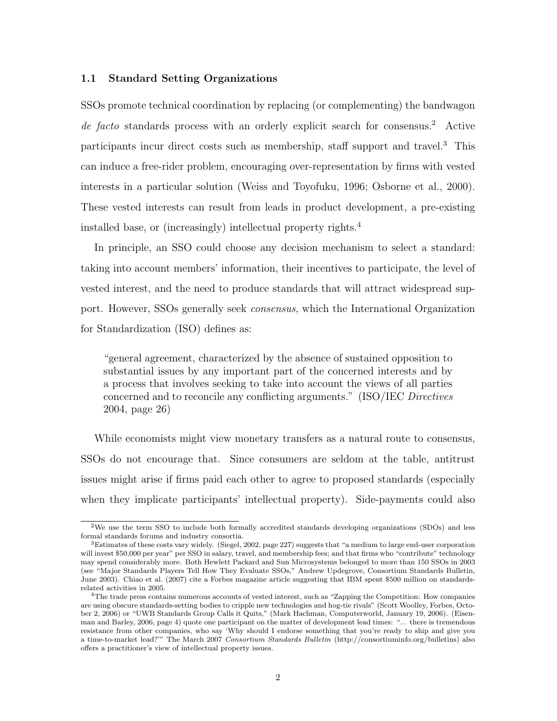#### 1.1 Standard Setting Organizations

SSOs promote technical coordination by replacing (or complementing) the bandwagon de facto standards process with an orderly explicit search for consensus.<sup>2</sup> Active participants incur direct costs such as membership, staff support and travel.<sup>3</sup> This can induce a free-rider problem, encouraging over-representation by firms with vested interests in a particular solution (Weiss and Toyofuku, 1996; Osborne et al., 2000). These vested interests can result from leads in product development, a pre-existing installed base, or (increasingly) intellectual property rights.<sup>4</sup>

In principle, an SSO could choose any decision mechanism to select a standard: taking into account members' information, their incentives to participate, the level of vested interest, and the need to produce standards that will attract widespread support. However, SSOs generally seek consensus, which the International Organization for Standardization (ISO) defines as:

"general agreement, characterized by the absence of sustained opposition to substantial issues by any important part of the concerned interests and by a process that involves seeking to take into account the views of all parties concerned and to reconcile any conflicting arguments." (ISO/IEC Directives 2004, page 26)

While economists might view monetary transfers as a natural route to consensus, SSOs do not encourage that. Since consumers are seldom at the table, antitrust issues might arise if firms paid each other to agree to proposed standards (especially when they implicate participants' intellectual property). Side-payments could also

<sup>2</sup>We use the term SSO to include both formally accredited standards developing organizations (SDOs) and less formal standards forums and industry consortia.

<sup>3</sup>Estimates of these costs vary widely. (Siegel, 2002, page 227) suggests that "a medium to large end-user corporation will invest \$50,000 per year" per SSO in salary, travel, and membership fees; and that firms who "contribute" technology may spend considerably more. Both Hewlett Packard and Sun Microsystems belonged to more than 150 SSOs in 2003 (see "Major Standards Players Tell How They Evaluate SSOs," Andrew Updegrove, Consortium Standards Bulletin, June 2003). Chiao et al. (2007) cite a Forbes magazine article suggesting that IBM spent \$500 million on standardsrelated activities in 2005.

<sup>4</sup>The trade press contains numerous accounts of vested interest, such as "Zapping the Competition: How companies are using obscure standards-setting bodies to cripple new technologies and hog-tie rivals" (Scott Woolley, Forbes, October 2, 2006) or "UWB Standards Group Calls it Quits," (Mark Hachman, Computerworld, January 19, 2006). (Eisenman and Barley, 2006, page 4) quote one participant on the matter of development lead times: "... there is tremendous resistance from other companies, who say 'Why should I endorse something that you're ready to ship and give you a time-to-market lead?'" The March 2007 Consortium Standards Bulletin (http://consortiuminfo.org/bulletins) also offers a practitioner's view of intellectual property issues.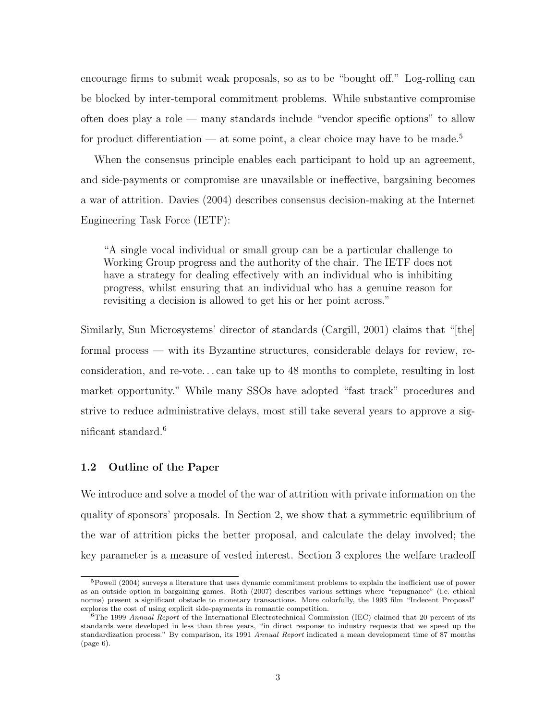encourage firms to submit weak proposals, so as to be "bought off." Log-rolling can be blocked by inter-temporal commitment problems. While substantive compromise often does play a role — many standards include "vendor specific options" to allow for product differentiation — at some point, a clear choice may have to be made.<sup>5</sup>

When the consensus principle enables each participant to hold up an agreement, and side-payments or compromise are unavailable or ineffective, bargaining becomes a war of attrition. Davies (2004) describes consensus decision-making at the Internet Engineering Task Force (IETF):

"A single vocal individual or small group can be a particular challenge to Working Group progress and the authority of the chair. The IETF does not have a strategy for dealing effectively with an individual who is inhibiting progress, whilst ensuring that an individual who has a genuine reason for revisiting a decision is allowed to get his or her point across."

Similarly, Sun Microsystems' director of standards (Cargill, 2001) claims that "[the] formal process — with its Byzantine structures, considerable delays for review, reconsideration, and re-vote. . . can take up to 48 months to complete, resulting in lost market opportunity." While many SSOs have adopted "fast track" procedures and strive to reduce administrative delays, most still take several years to approve a significant standard.<sup>6</sup>

## 1.2 Outline of the Paper

We introduce and solve a model of the war of attrition with private information on the quality of sponsors' proposals. In Section 2, we show that a symmetric equilibrium of the war of attrition picks the better proposal, and calculate the delay involved; the key parameter is a measure of vested interest. Section 3 explores the welfare tradeoff

 $5$ Powell (2004) surveys a literature that uses dynamic commitment problems to explain the inefficient use of power as an outside option in bargaining games. Roth (2007) describes various settings where "repugnance" (i.e. ethical norms) present a significant obstacle to monetary transactions. More colorfully, the 1993 film "Indecent Proposal" explores the cost of using explicit side-payments in romantic competition.

<sup>&</sup>lt;sup>6</sup>The 1999 Annual Report of the International Electrotechnical Commission (IEC) claimed that 20 percent of its standards were developed in less than three years, "in direct response to industry requests that we speed up the standardization process." By comparison, its 1991 Annual Report indicated a mean development time of 87 months (page 6).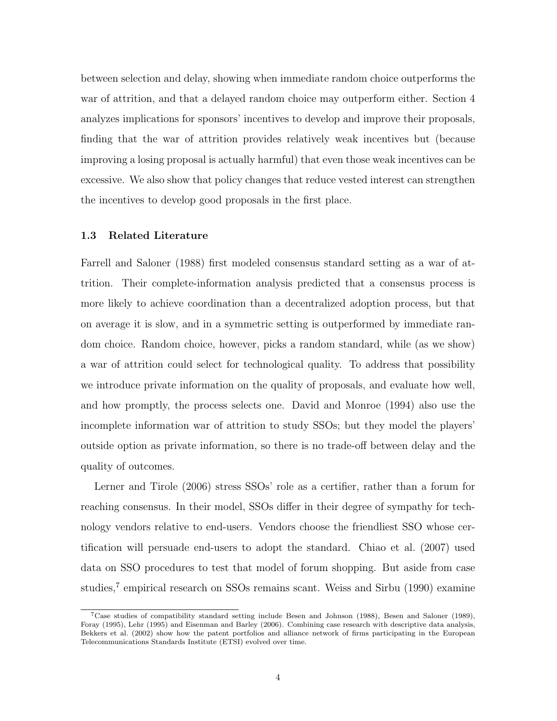between selection and delay, showing when immediate random choice outperforms the war of attrition, and that a delayed random choice may outperform either. Section 4 analyzes implications for sponsors' incentives to develop and improve their proposals, finding that the war of attrition provides relatively weak incentives but (because improving a losing proposal is actually harmful) that even those weak incentives can be excessive. We also show that policy changes that reduce vested interest can strengthen the incentives to develop good proposals in the first place.

## 1.3 Related Literature

Farrell and Saloner (1988) first modeled consensus standard setting as a war of attrition. Their complete-information analysis predicted that a consensus process is more likely to achieve coordination than a decentralized adoption process, but that on average it is slow, and in a symmetric setting is outperformed by immediate random choice. Random choice, however, picks a random standard, while (as we show) a war of attrition could select for technological quality. To address that possibility we introduce private information on the quality of proposals, and evaluate how well, and how promptly, the process selects one. David and Monroe (1994) also use the incomplete information war of attrition to study SSOs; but they model the players' outside option as private information, so there is no trade-off between delay and the quality of outcomes.

Lerner and Tirole (2006) stress SSOs' role as a certifier, rather than a forum for reaching consensus. In their model, SSOs differ in their degree of sympathy for technology vendors relative to end-users. Vendors choose the friendliest SSO whose certification will persuade end-users to adopt the standard. Chiao et al. (2007) used data on SSO procedures to test that model of forum shopping. But aside from case studies,<sup>7</sup> empirical research on SSOs remains scant. Weiss and Sirbu (1990) examine

<sup>&</sup>lt;sup>7</sup>Case studies of compatibility standard setting include Besen and Johnson (1988), Besen and Saloner (1989), Foray (1995), Lehr (1995) and Eisenman and Barley (2006). Combining case research with descriptive data analysis, Bekkers et al. (2002) show how the patent portfolios and alliance network of firms participating in the European Telecommunications Standards Institute (ETSI) evolved over time.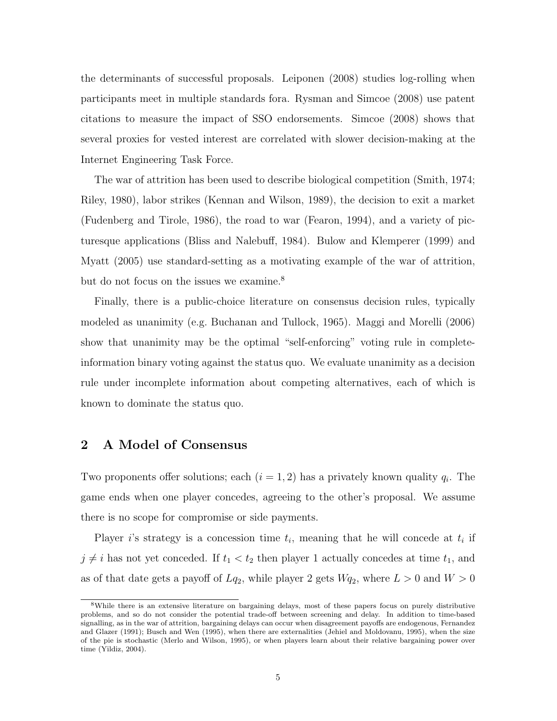the determinants of successful proposals. Leiponen (2008) studies log-rolling when participants meet in multiple standards fora. Rysman and Simcoe (2008) use patent citations to measure the impact of SSO endorsements. Simcoe (2008) shows that several proxies for vested interest are correlated with slower decision-making at the Internet Engineering Task Force.

The war of attrition has been used to describe biological competition (Smith, 1974; Riley, 1980), labor strikes (Kennan and Wilson, 1989), the decision to exit a market (Fudenberg and Tirole, 1986), the road to war (Fearon, 1994), and a variety of picturesque applications (Bliss and Nalebuff, 1984). Bulow and Klemperer (1999) and Myatt (2005) use standard-setting as a motivating example of the war of attrition, but do not focus on the issues we examine.<sup>8</sup>

Finally, there is a public-choice literature on consensus decision rules, typically modeled as unanimity (e.g. Buchanan and Tullock, 1965). Maggi and Morelli (2006) show that unanimity may be the optimal "self-enforcing" voting rule in completeinformation binary voting against the status quo. We evaluate unanimity as a decision rule under incomplete information about competing alternatives, each of which is known to dominate the status quo.

# 2 A Model of Consensus

Two proponents offer solutions; each  $(i = 1, 2)$  has a privately known quality  $q_i$ . The game ends when one player concedes, agreeing to the other's proposal. We assume there is no scope for compromise or side payments.

Player i's strategy is a concession time  $t_i$ , meaning that he will concede at  $t_i$  if  $j \neq i$  has not yet conceded. If  $t_1 < t_2$  then player 1 actually concedes at time  $t_1$ , and as of that date gets a payoff of  $L_{q_2}$ , while player 2 gets  $W_{q_2}$ , where  $L > 0$  and  $W > 0$ 

<sup>8</sup>While there is an extensive literature on bargaining delays, most of these papers focus on purely distributive problems, and so do not consider the potential trade-off between screening and delay. In addition to time-based signalling, as in the war of attrition, bargaining delays can occur when disagreement payoffs are endogenous, Fernandez and Glazer (1991); Busch and Wen (1995), when there are externalities (Jehiel and Moldovanu, 1995), when the size of the pie is stochastic (Merlo and Wilson, 1995), or when players learn about their relative bargaining power over time (Yildiz, 2004).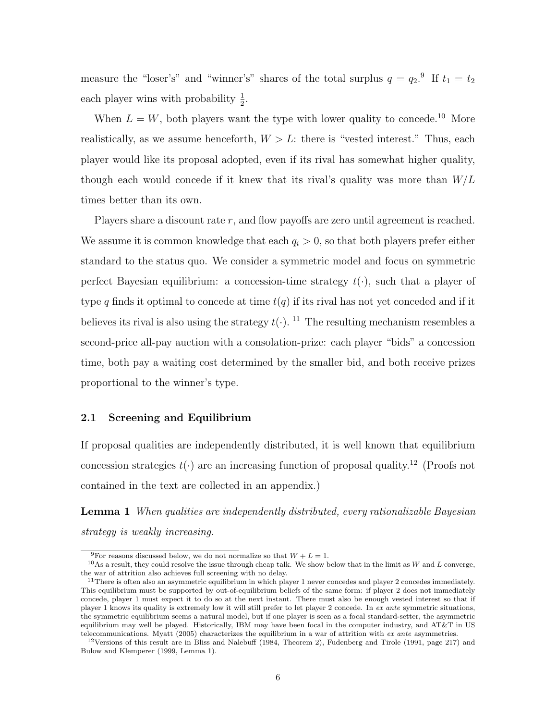measure the "loser's" and "winner's" shares of the total surplus  $q = q_2$ .<sup>9</sup> If  $t_1 = t_2$ each player wins with probability  $\frac{1}{2}$ .

When  $L = W$ , both players want the type with lower quality to concede.<sup>10</sup> More realistically, as we assume henceforth,  $W > L$ : there is "vested interest." Thus, each player would like its proposal adopted, even if its rival has somewhat higher quality, though each would concede if it knew that its rival's quality was more than  $W/L$ times better than its own.

Players share a discount rate  $r$ , and flow payoffs are zero until agreement is reached. We assume it is common knowledge that each  $q_i > 0$ , so that both players prefer either standard to the status quo. We consider a symmetric model and focus on symmetric perfect Bayesian equilibrium: a concession-time strategy  $t(\cdot)$ , such that a player of type q finds it optimal to concede at time  $t(q)$  if its rival has not yet conceded and if it believes its rival is also using the strategy  $t(.)$ . <sup>11</sup> The resulting mechanism resembles a second-price all-pay auction with a consolation-prize: each player "bids" a concession time, both pay a waiting cost determined by the smaller bid, and both receive prizes proportional to the winner's type.

### 2.1 Screening and Equilibrium

If proposal qualities are independently distributed, it is well known that equilibrium concession strategies  $t(\cdot)$  are an increasing function of proposal quality.<sup>12</sup> (Proofs not contained in the text are collected in an appendix.)

Lemma 1 When qualities are independently distributed, every rationalizable Bayesian strategy is weakly increasing.

<sup>&</sup>lt;sup>9</sup>For reasons discussed below, we do not normalize so that  $W + L = 1$ .

 $10$ As a result, they could resolve the issue through cheap talk. We show below that in the limit as W and L converge, the war of attrition also achieves full screening with no delay.

<sup>&</sup>lt;sup>11</sup>There is often also an asymmetric equilibrium in which player 1 never concedes and player 2 concedes immediately. This equilibrium must be supported by out-of-equilibrium beliefs of the same form: if player 2 does not immediately concede, player 1 must expect it to do so at the next instant. There must also be enough vested interest so that if player 1 knows its quality is extremely low it will still prefer to let player 2 concede. In ex ante symmetric situations, the symmetric equilibrium seems a natural model, but if one player is seen as a focal standard-setter, the asymmetric equilibrium may well be played. Historically, IBM may have been focal in the computer industry, and AT&T in US telecommunications. Myatt (2005) characterizes the equilibrium in a war of attrition with ex ante asymmetries.

<sup>&</sup>lt;sup>12</sup>Versions of this result are in Bliss and Nalebuff (1984, Theorem 2), Fudenberg and Tirole (1991, page 217) and Bulow and Klemperer (1999, Lemma 1).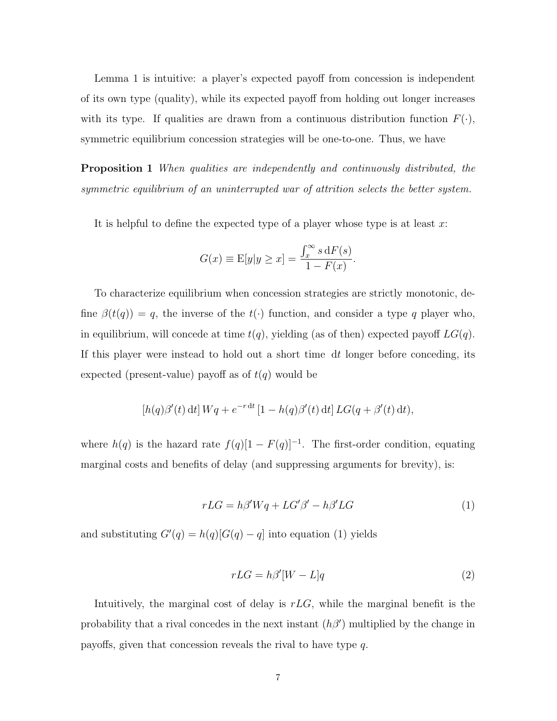Lemma 1 is intuitive: a player's expected payoff from concession is independent of its own type (quality), while its expected payoff from holding out longer increases with its type. If qualities are drawn from a continuous distribution function  $F(\cdot)$ , symmetric equilibrium concession strategies will be one-to-one. Thus, we have

**Proposition 1** When qualities are independently and continuously distributed, the symmetric equilibrium of an uninterrupted war of attrition selects the better system.

It is helpful to define the expected type of a player whose type is at least  $x$ :

$$
G(x) \equiv \mathbb{E}[y|y \ge x] = \frac{\int_x^{\infty} s \, dF(s)}{1 - F(x)}.
$$

To characterize equilibrium when concession strategies are strictly monotonic, define  $\beta(t(q)) = q$ , the inverse of the  $t(\cdot)$  function, and consider a type q player who, in equilibrium, will concede at time  $t(q)$ , yielding (as of then) expected payoff  $LG(q)$ . If this player were instead to hold out a short time dt longer before conceding, its expected (present-value) payoff as of  $t(q)$  would be

$$
[h(q)\beta'(t) dt] Wq + e^{-r dt} [1 - h(q)\beta'(t) dt] LG(q + \beta'(t) dt),
$$

where  $h(q)$  is the hazard rate  $f(q)[1 - F(q)]^{-1}$ . The first-order condition, equating marginal costs and benefits of delay (and suppressing arguments for brevity), is:

$$
rLG = h\beta' Wq + LG'\beta' - h\beta' LG \tag{1}
$$

and substituting  $G'(q) = h(q)[G(q) - q]$  into equation (1) yields

$$
rLG = h\beta'[W - L]q \tag{2}
$$

Intuitively, the marginal cost of delay is  $rLG$ , while the marginal benefit is the probability that a rival concedes in the next instant  $(h\beta')$  multiplied by the change in payoffs, given that concession reveals the rival to have type q.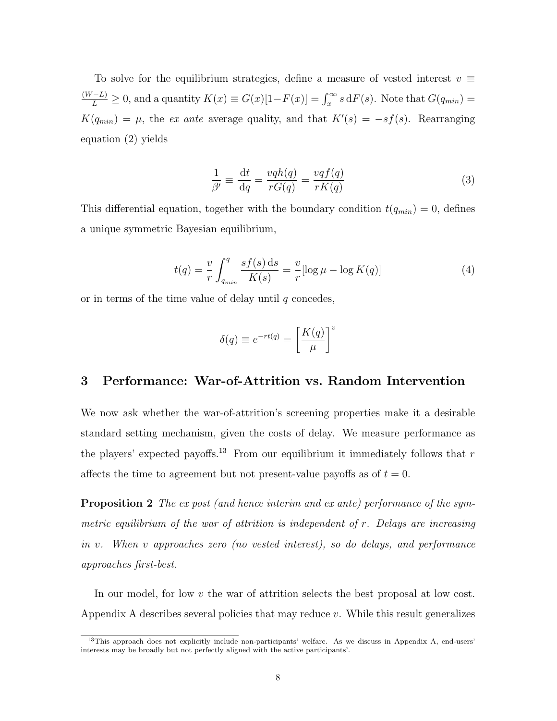To solve for the equilibrium strategies, define a measure of vested interest  $v \equiv$  $\frac{(W-L)}{L} \geq 0$ , and a quantity  $K(x) \equiv G(x)[1-F(x)] = \int_x^{\infty} s \, dF(s)$ . Note that  $G(q_{min}) =$  $K(q_{min}) = \mu$ , the ex ante average quality, and that  $K'(s) = -sf(s)$ . Rearranging equation (2) yields

$$
\frac{1}{\beta'} \equiv \frac{\mathrm{d}t}{\mathrm{d}q} = \frac{vqh(q)}{rG(q)} = \frac{vqf(q)}{rK(q)}\tag{3}
$$

This differential equation, together with the boundary condition  $t(q_{min}) = 0$ , defines a unique symmetric Bayesian equilibrium,

$$
t(q) = \frac{v}{r} \int_{q_{min}}^{q} \frac{s f(s) \, \mathrm{d}s}{K(s)} = \frac{v}{r} [\log \mu - \log K(q)] \tag{4}
$$

or in terms of the time value of delay until  $q$  concedes,

$$
\delta(q) \equiv e^{-rt(q)} = \left[\frac{K(q)}{\mu}\right]^v
$$

# 3 Performance: War-of-Attrition vs. Random Intervention

We now ask whether the war-of-attrition's screening properties make it a desirable standard setting mechanism, given the costs of delay. We measure performance as the players' expected payoffs.<sup>13</sup> From our equilibrium it immediately follows that  $r$ affects the time to agreement but not present-value payoffs as of  $t = 0$ .

Proposition 2 The ex post (and hence interim and ex ante) performance of the symmetric equilibrium of the war of attrition is independent of  $r$ . Delays are increasing in v. When v approaches zero (no vested interest), so do delays, and performance approaches first-best.

In our model, for low  $v$  the war of attrition selects the best proposal at low cost. Appendix A describes several policies that may reduce  $v$ . While this result generalizes

<sup>&</sup>lt;sup>13</sup>This approach does not explicitly include non-participants' welfare. As we discuss in Appendix A, end-users' interests may be broadly but not perfectly aligned with the active participants'.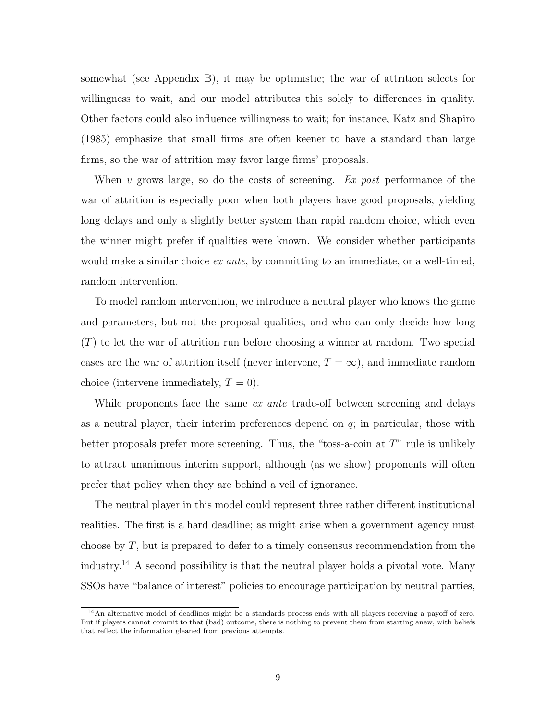somewhat (see Appendix B), it may be optimistic; the war of attrition selects for willingness to wait, and our model attributes this solely to differences in quality. Other factors could also influence willingness to wait; for instance, Katz and Shapiro (1985) emphasize that small firms are often keener to have a standard than large firms, so the war of attrition may favor large firms' proposals.

When v grows large, so do the costs of screening.  $Ex$  post performance of the war of attrition is especially poor when both players have good proposals, yielding long delays and only a slightly better system than rapid random choice, which even the winner might prefer if qualities were known. We consider whether participants would make a similar choice  $ex$  ante, by committing to an immediate, or a well-timed, random intervention.

To model random intervention, we introduce a neutral player who knows the game and parameters, but not the proposal qualities, and who can only decide how long  $(T)$  to let the war of attrition run before choosing a winner at random. Two special cases are the war of attrition itself (never intervene,  $T = \infty$ ), and immediate random choice (intervene immediately,  $T = 0$ ).

While proponents face the same ex ante trade-off between screening and delays as a neutral player, their interim preferences depend on  $q$ ; in particular, those with better proposals prefer more screening. Thus, the "toss-a-coin at T" rule is unlikely to attract unanimous interim support, although (as we show) proponents will often prefer that policy when they are behind a veil of ignorance.

The neutral player in this model could represent three rather different institutional realities. The first is a hard deadline; as might arise when a government agency must choose by  $T$ , but is prepared to defer to a timely consensus recommendation from the industry.<sup>14</sup> A second possibility is that the neutral player holds a pivotal vote. Many SSOs have "balance of interest" policies to encourage participation by neutral parties,

<sup>&</sup>lt;sup>14</sup>An alternative model of deadlines might be a standards process ends with all players receiving a payoff of zero. But if players cannot commit to that (bad) outcome, there is nothing to prevent them from starting anew, with beliefs that reflect the information gleaned from previous attempts.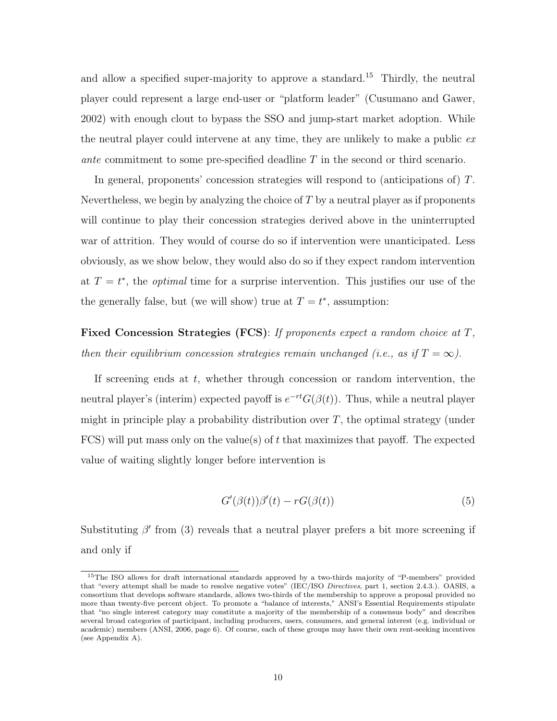and allow a specified super-majority to approve a standard.<sup>15</sup> Thirdly, the neutral player could represent a large end-user or "platform leader" (Cusumano and Gawer, 2002) with enough clout to bypass the SSO and jump-start market adoption. While the neutral player could intervene at any time, they are unlikely to make a public ex ante commitment to some pre-specified deadline T in the second or third scenario.

In general, proponents' concession strategies will respond to (anticipations of) T. Nevertheless, we begin by analyzing the choice of  $T$  by a neutral player as if proponents will continue to play their concession strategies derived above in the uninterrupted war of attrition. They would of course do so if intervention were unanticipated. Less obviously, as we show below, they would also do so if they expect random intervention at  $T = t^*$ , the *optimal* time for a surprise intervention. This justifies our use of the the generally false, but (we will show) true at  $T = t^*$ , assumption:

Fixed Concession Strategies (FCS): If proponents expect a random choice at T, then their equilibrium concession strategies remain unchanged (i.e., as if  $T = \infty$ ).

If screening ends at  $t$ , whether through concession or random intervention, the neutral player's (interim) expected payoff is  $e^{-rt}G(\beta(t))$ . Thus, while a neutral player might in principle play a probability distribution over  $T$ , the optimal strategy (under FCS) will put mass only on the value(s) of t that maximizes that payoff. The expected value of waiting slightly longer before intervention is

$$
G'(\beta(t))\beta'(t) - rG(\beta(t))\tag{5}
$$

Substituting  $\beta'$  from (3) reveals that a neutral player prefers a bit more screening if and only if

<sup>15</sup>The ISO allows for draft international standards approved by a two-thirds majority of "P-members" provided that "every attempt shall be made to resolve negative votes" (IEC/ISO Directives, part 1, section 2.4.3.). OASIS, a consortium that develops software standards, allows two-thirds of the membership to approve a proposal provided no more than twenty-five percent object. To promote a "balance of interests," ANSI's Essential Requirements stipulate that "no single interest category may constitute a majority of the membership of a consensus body" and describes several broad categories of participant, including producers, users, consumers, and general interest (e.g. individual or academic) members (ANSI, 2006, page 6). Of course, each of these groups may have their own rent-seeking incentives (see Appendix A).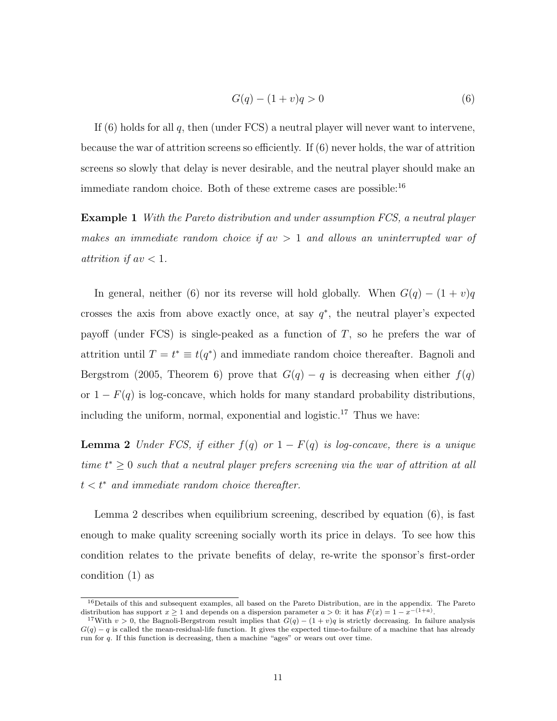$$
G(q) - (1+v)q > 0
$$
\n(6)

If  $(6)$  holds for all q, then (under FCS) a neutral player will never want to intervene, because the war of attrition screens so efficiently. If (6) never holds, the war of attrition screens so slowly that delay is never desirable, and the neutral player should make an immediate random choice. Both of these extreme cases are possible:<sup>16</sup>

Example 1 With the Pareto distribution and under assumption FCS, a neutral player makes an immediate random choice if  $av > 1$  and allows an uninterrupted war of attrition if  $av < 1$ .

In general, neither (6) nor its reverse will hold globally. When  $G(q) - (1 + v)q$ crosses the axis from above exactly once, at say  $q^*$ , the neutral player's expected payoff (under FCS) is single-peaked as a function of  $T$ , so he prefers the war of attrition until  $T = t^* \equiv t(q^*)$  and immediate random choice thereafter. Bagnoli and Bergstrom (2005, Theorem 6) prove that  $G(q) - q$  is decreasing when either  $f(q)$ or  $1 - F(q)$  is log-concave, which holds for many standard probability distributions, including the uniform, normal, exponential and logistic.<sup>17</sup> Thus we have:

**Lemma 2** Under FCS, if either  $f(q)$  or  $1 - F(q)$  is log-concave, there is a unique time  $t^* \geq 0$  such that a neutral player prefers screening via the war of attrition at all  $t < t^*$  and immediate random choice thereafter.

Lemma 2 describes when equilibrium screening, described by equation (6), is fast enough to make quality screening socially worth its price in delays. To see how this condition relates to the private benefits of delay, re-write the sponsor's first-order condition (1) as

<sup>&</sup>lt;sup>16</sup>Details of this and subsequent examples, all based on the Pareto Distribution, are in the appendix. The Pareto distribution has support  $x \ge 1$  and depends on a dispersion parameter  $a > 0$ : it has  $F(x) = 1 - x^{-(1+a)}$ .

<sup>&</sup>lt;sup>17</sup>With v > 0, the Bagnoli-Bergstrom result implies that  $G(q) - (1 + v)q$  is strictly decreasing. In failure analysis  $G(q) - q$  is called the mean-residual-life function. It gives the expected time-to-failure of a machine that has already run for q. If this function is decreasing, then a machine "ages" or wears out over time.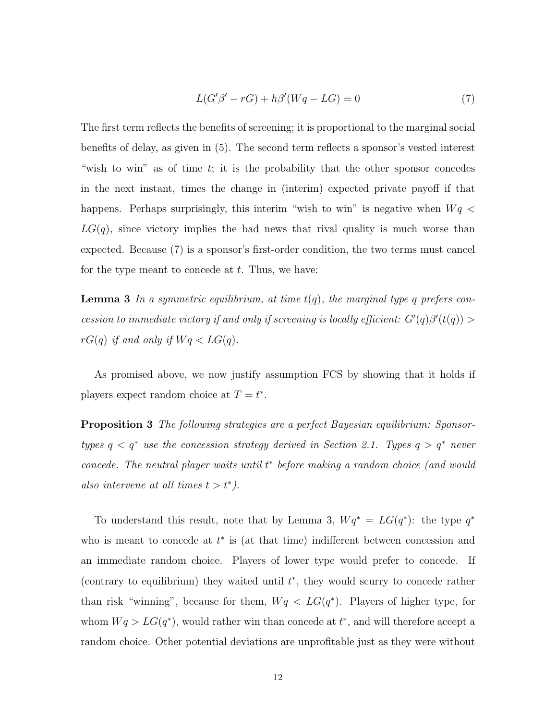$$
L(G'\beta' - rG) + h\beta'(Wq - LG) = 0\tag{7}
$$

The first term reflects the benefits of screening; it is proportional to the marginal social benefits of delay, as given in (5). The second term reflects a sponsor's vested interest "wish to win" as of time t; it is the probability that the other sponsor concedes in the next instant, times the change in (interim) expected private payoff if that happens. Perhaps surprisingly, this interim "wish to win" is negative when  $Wq <$  $LG(q)$ , since victory implies the bad news that rival quality is much worse than expected. Because (7) is a sponsor's first-order condition, the two terms must cancel for the type meant to concede at  $t$ . Thus, we have:

**Lemma 3** In a symmetric equilibrium, at time  $t(q)$ , the marginal type q prefers concession to immediate victory if and only if screening is locally efficient:  $G'(q)\beta'(t(q)) >$  $rG(q)$  if and only if  $Wq < LG(q)$ .

As promised above, we now justify assumption FCS by showing that it holds if players expect random choice at  $T = t^*$ .

**Proposition 3** The following strategies are a perfect Bayesian equilibrium: Sponsortypes  $q < q^*$  use the concession strategy derived in Section 2.1. Types  $q > q^*$  never concede. The neutral player waits until  $t^*$  before making a random choice (and would also intervene at all times  $t > t^*$ ).

To understand this result, note that by Lemma 3,  $Wq^* = LG(q^*)$ : the type  $q^*$ who is meant to concede at  $t^*$  is (at that time) indifferent between concession and an immediate random choice. Players of lower type would prefer to concede. If (contrary to equilibrium) they waited until  $t^*$ , they would scurry to concede rather than risk "winning", because for them,  $Wq < LG(q^*)$ . Players of higher type, for whom  $Wq > LG(q^*)$ , would rather win than concede at  $t^*$ , and will therefore accept a random choice. Other potential deviations are unprofitable just as they were without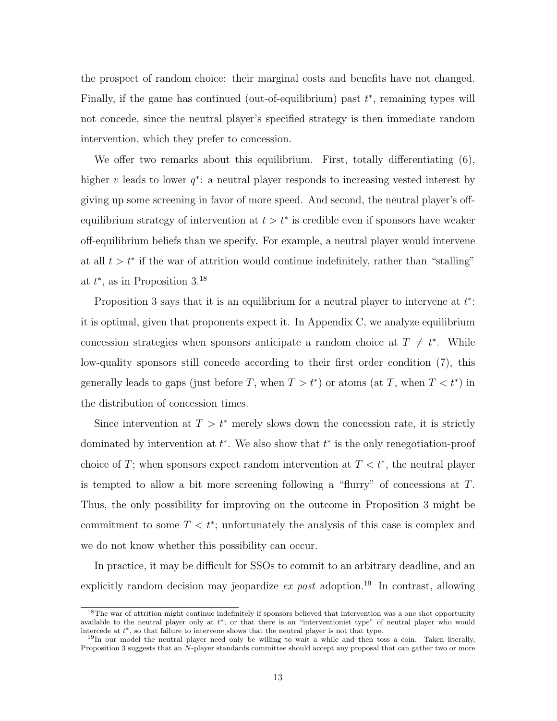the prospect of random choice: their marginal costs and benefits have not changed. Finally, if the game has continued (out-of-equilibrium) past  $t^*$ , remaining types will not concede, since the neutral player's specified strategy is then immediate random intervention, which they prefer to concession.

We offer two remarks about this equilibrium. First, totally differentiating  $(6)$ , higher v leads to lower  $q^*$ : a neutral player responds to increasing vested interest by giving up some screening in favor of more speed. And second, the neutral player's offequilibrium strategy of intervention at  $t > t^*$  is credible even if sponsors have weaker off-equilibrium beliefs than we specify. For example, a neutral player would intervene at all  $t > t^*$  if the war of attrition would continue indefinitely, rather than "stalling" at  $t^*$ , as in Proposition 3.<sup>18</sup>

Proposition 3 says that it is an equilibrium for a neutral player to intervene at  $t^*$ : it is optimal, given that proponents expect it. In Appendix C, we analyze equilibrium concession strategies when sponsors anticipate a random choice at  $T \neq t^*$ . While low-quality sponsors still concede according to their first order condition (7), this generally leads to gaps (just before T, when  $T > t^*$ ) or atoms (at T, when  $T < t^*$ ) in the distribution of concession times.

Since intervention at  $T > t^*$  merely slows down the concession rate, it is strictly dominated by intervention at  $t^*$ . We also show that  $t^*$  is the only renegotiation-proof choice of T; when sponsors expect random intervention at  $T < t^*$ , the neutral player is tempted to allow a bit more screening following a "flurry" of concessions at T. Thus, the only possibility for improving on the outcome in Proposition 3 might be commitment to some  $T < t^*$ ; unfortunately the analysis of this case is complex and we do not know whether this possibility can occur.

In practice, it may be difficult for SSOs to commit to an arbitrary deadline, and an explicitly random decision may jeopardize *ex post* adoption.<sup>19</sup> In contrast, allowing

<sup>&</sup>lt;sup>18</sup>The war of attrition might continue indefinitely if sponsors believed that intervention was a one shot opportunity available to the neutral player only at  $t^*$ ; or that there is an "interventionist type" of neutral player who would intercede at  $t^*$ , so that failure to intervene shows that the neutral player is not that type.

<sup>&</sup>lt;sup>19</sup>In our model the neutral player need only be willing to wait a while and then toss a coin. Taken literally, Proposition 3 suggests that an N-player standards committee should accept any proposal that can gather two or more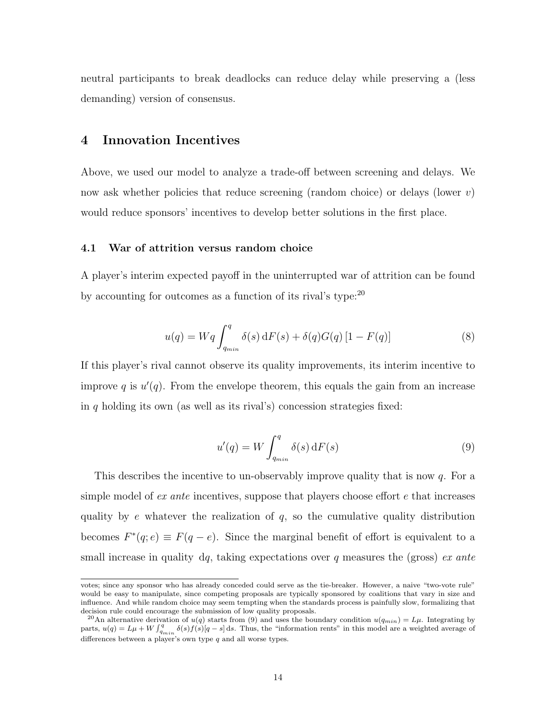neutral participants to break deadlocks can reduce delay while preserving a (less demanding) version of consensus.

# 4 Innovation Incentives

Above, we used our model to analyze a trade-off between screening and delays. We now ask whether policies that reduce screening (random choice) or delays (lower  $v$ ) would reduce sponsors' incentives to develop better solutions in the first place.

#### 4.1 War of attrition versus random choice

A player's interim expected payoff in the uninterrupted war of attrition can be found by accounting for outcomes as a function of its rival's type:<sup>20</sup>

$$
u(q) = Wq \int_{q_{min}}^{q} \delta(s) dF(s) + \delta(q)G(q) [1 - F(q)] \tag{8}
$$

If this player's rival cannot observe its quality improvements, its interim incentive to improve q is  $u'(q)$ . From the envelope theorem, this equals the gain from an increase in q holding its own (as well as its rival's) concession strategies fixed:

$$
u'(q) = W \int_{q_{min}}^{q} \delta(s) \, dF(s)
$$
\n(9)

This describes the incentive to un-observably improve quality that is now  $q$ . For a simple model of  $ex$  ante incentives, suppose that players choose effort  $e$  that increases quality by  $e$  whatever the realization of  $q$ , so the cumulative quality distribution becomes  $F^*(q; e) \equiv F(q - e)$ . Since the marginal benefit of effort is equivalent to a small increase in quality dq, taking expectations over q measures the (gross) ex ante

votes; since any sponsor who has already conceded could serve as the tie-breaker. However, a naive "two-vote rule" would be easy to manipulate, since competing proposals are typically sponsored by coalitions that vary in size and influence. And while random choice may seem tempting when the standards process is painfully slow, formalizing that decision rule could encourage the submission of low quality proposals.

<sup>&</sup>lt;sup>20</sup>An alternative derivation of  $u(q)$  starts from (9) and uses the boundary condition  $u(q_{min}) = L\mu$ . Integrating by parts,  $u(q) = L\mu + W \int_{q_{min}}^{q} \delta(s) f(s) [q - s] ds$ . Thus, the "information rents" in this model are a weighted average of differences between a player's own type  $q$  and all worse types.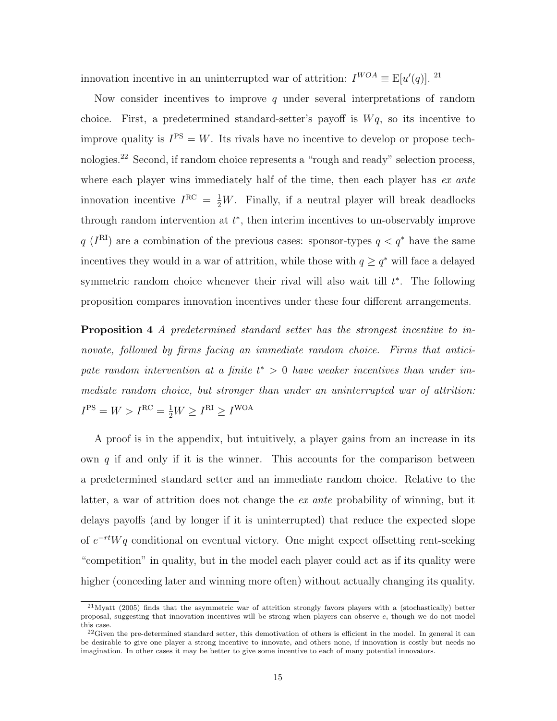innovation incentive in an uninterrupted war of attrition:  $I^{WOA} \equiv E[u'(q)]$ . <sup>21</sup>

Now consider incentives to improve q under several interpretations of random choice. First, a predetermined standard-setter's payoff is  $Wq$ , so its incentive to improve quality is  $I^{PS} = W$ . Its rivals have no incentive to develop or propose technologies.<sup>22</sup> Second, if random choice represents a "rough and ready" selection process, where each player wins immediately half of the time, then each player has  $ex$  ante innovation incentive  $I^{RC} = \frac{1}{2}W$ . Finally, if a neutral player will break deadlocks through random intervention at  $t^*$ , then interim incentives to un-observably improve  $q(I^{\text{RI}})$  are a combination of the previous cases: sponsor-types  $q < q^*$  have the same incentives they would in a war of attrition, while those with  $q \geq q^*$  will face a delayed symmetric random choice whenever their rival will also wait till  $t^*$ . The following proposition compares innovation incentives under these four different arrangements.

Proposition 4 A predetermined standard setter has the strongest incentive to innovate, followed by firms facing an immediate random choice. Firms that anticipate random intervention at a finite  $t^* > 0$  have weaker incentives than under immediate random choice, but stronger than under an uninterrupted war of attrition:  $I<sup>PS</sup> = W > I<sup>RC</sup> = \frac{1}{2}W \geq I<sup>RI</sup> \geq I<sup>WOA</sup>$ 

A proof is in the appendix, but intuitively, a player gains from an increase in its own  $q$  if and only if it is the winner. This accounts for the comparison between a predetermined standard setter and an immediate random choice. Relative to the latter, a war of attrition does not change the ex ante probability of winning, but it delays payoffs (and by longer if it is uninterrupted) that reduce the expected slope of  $e^{-rt}Wq$  conditional on eventual victory. One might expect offsetting rent-seeking "competition" in quality, but in the model each player could act as if its quality were higher (conceding later and winning more often) without actually changing its quality.

<sup>21</sup>Myatt (2005) finds that the asymmetric war of attrition strongly favors players with a (stochastically) better proposal, suggesting that innovation incentives will be strong when players can observe e, though we do not model this case.

 $22$ Given the pre-determined standard setter, this demotivation of others is efficient in the model. In general it can be desirable to give one player a strong incentive to innovate, and others none, if innovation is costly but needs no imagination. In other cases it may be better to give some incentive to each of many potential innovators.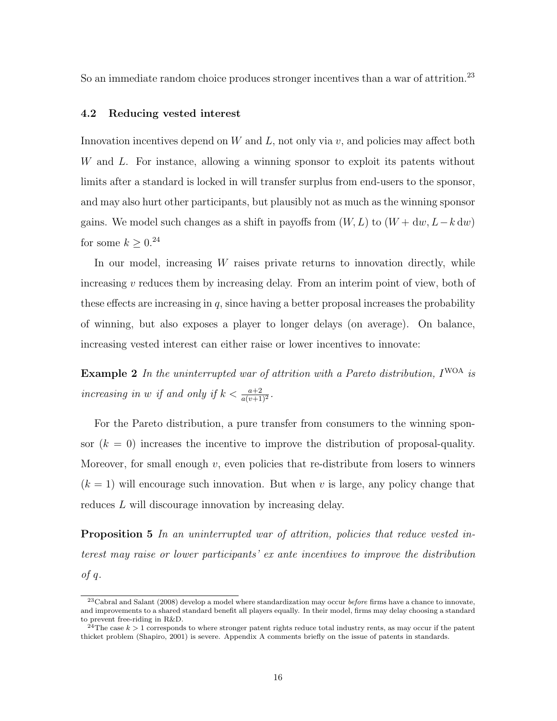So an immediate random choice produces stronger incentives than a war of attrition.<sup>23</sup>

#### 4.2 Reducing vested interest

Innovation incentives depend on W and L, not only via  $v$ , and policies may affect both W and L. For instance, allowing a winning sponsor to exploit its patents without limits after a standard is locked in will transfer surplus from end-users to the sponsor, and may also hurt other participants, but plausibly not as much as the winning sponsor gains. We model such changes as a shift in payoffs from  $(W, L)$  to  $(W + dw, L - k dw)$ for some  $k \geq 0.24$ 

In our model, increasing  $W$  raises private returns to innovation directly, while increasing  $v$  reduces them by increasing delay. From an interim point of view, both of these effects are increasing in  $q$ , since having a better proposal increases the probability of winning, but also exposes a player to longer delays (on average). On balance, increasing vested interest can either raise or lower incentives to innovate:

**Example 2** In the uninterrupted war of attrition with a Pareto distribution,  $I^{WOA}$  is increasing in w if and only if  $k < \frac{a+2}{a(v+1)^2}$ .

For the Pareto distribution, a pure transfer from consumers to the winning sponsor  $(k = 0)$  increases the incentive to improve the distribution of proposal-quality. Moreover, for small enough  $v$ , even policies that re-distribute from losers to winners  $(k = 1)$  will encourage such innovation. But when v is large, any policy change that reduces L will discourage innovation by increasing delay.

Proposition 5 In an uninterrupted war of attrition, policies that reduce vested interest may raise or lower participants' ex ante incentives to improve the distribution  $of q.$ 

 $^{23}$ Cabral and Salant (2008) develop a model where standardization may occur before firms have a chance to innovate, and improvements to a shared standard benefit all players equally. In their model, firms may delay choosing a standard to prevent free-riding in R&D.

<sup>&</sup>lt;sup>24</sup>The case  $k > 1$  corresponds to where stronger patent rights reduce total industry rents, as may occur if the patent thicket problem (Shapiro, 2001) is severe. Appendix A comments briefly on the issue of patents in standards.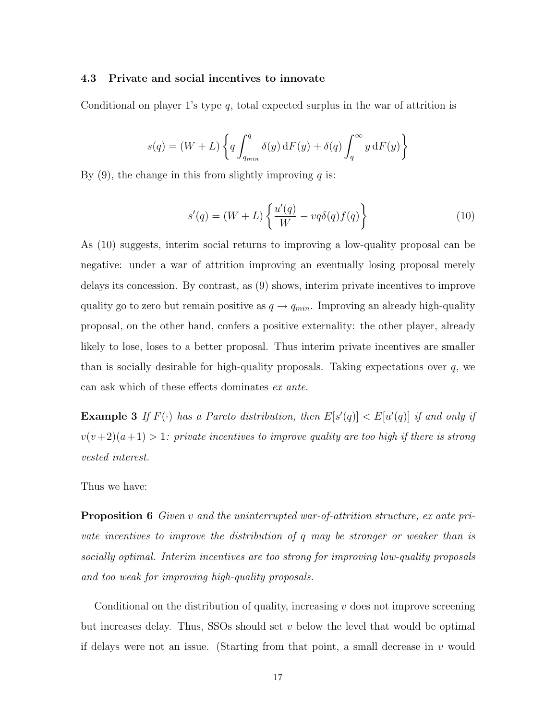#### 4.3 Private and social incentives to innovate

Conditional on player 1's type  $q$ , total expected surplus in the war of attrition is

$$
s(q) = (W + L) \left\{ q \int_{q_{min}}^{q} \delta(y) dF(y) + \delta(q) \int_{q}^{\infty} y dF(y) \right\}
$$

By  $(9)$ , the change in this from slightly improving q is:

$$
s'(q) = (W+L)\left\{\frac{u'(q)}{W} - vq\delta(q)f(q)\right\}
$$
\n(10)

As (10) suggests, interim social returns to improving a low-quality proposal can be negative: under a war of attrition improving an eventually losing proposal merely delays its concession. By contrast, as (9) shows, interim private incentives to improve quality go to zero but remain positive as  $q \rightarrow q_{min}$ . Improving an already high-quality proposal, on the other hand, confers a positive externality: the other player, already likely to lose, loses to a better proposal. Thus interim private incentives are smaller than is socially desirable for high-quality proposals. Taking expectations over  $q$ , we can ask which of these effects dominates ex ante.

**Example 3** If  $F(\cdot)$  has a Pareto distribution, then  $E[s'(q)] < E[u'(q)]$  if and only if  $v(v+2)(a+1) > 1$ : private incentives to improve quality are too high if there is strong vested interest.

Thus we have:

Proposition 6 Given v and the uninterrupted war-of-attrition structure, ex ante private incentives to improve the distribution of q may be stronger or weaker than is socially optimal. Interim incentives are too strong for improving low-quality proposals and too weak for improving high-quality proposals.

Conditional on the distribution of quality, increasing  $v$  does not improve screening but increases delay. Thus, SSOs should set  $v$  below the level that would be optimal if delays were not an issue. (Starting from that point, a small decrease in  $v$  would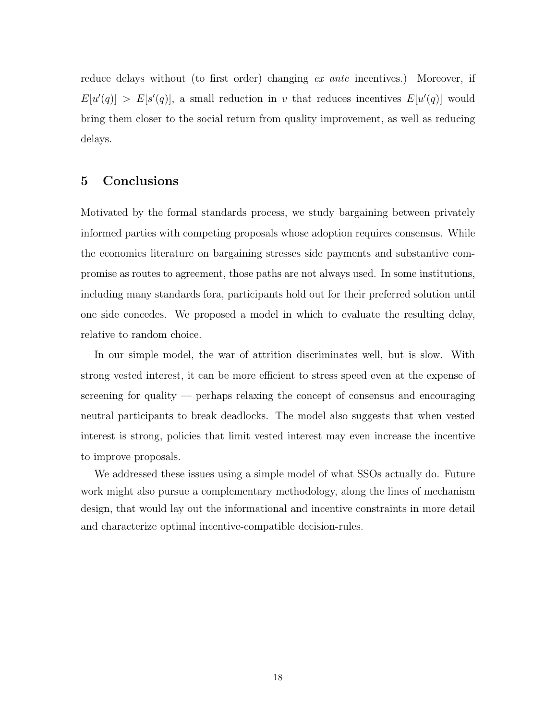reduce delays without (to first order) changing ex ante incentives.) Moreover, if  $E[u'(q)] > E[s'(q)]$ , a small reduction in v that reduces incentives  $E[u'(q)]$  would bring them closer to the social return from quality improvement, as well as reducing delays.

# 5 Conclusions

Motivated by the formal standards process, we study bargaining between privately informed parties with competing proposals whose adoption requires consensus. While the economics literature on bargaining stresses side payments and substantive compromise as routes to agreement, those paths are not always used. In some institutions, including many standards fora, participants hold out for their preferred solution until one side concedes. We proposed a model in which to evaluate the resulting delay, relative to random choice.

In our simple model, the war of attrition discriminates well, but is slow. With strong vested interest, it can be more efficient to stress speed even at the expense of screening for quality — perhaps relaxing the concept of consensus and encouraging neutral participants to break deadlocks. The model also suggests that when vested interest is strong, policies that limit vested interest may even increase the incentive to improve proposals.

We addressed these issues using a simple model of what SSOs actually do. Future work might also pursue a complementary methodology, along the lines of mechanism design, that would lay out the informational and incentive constraints in more detail and characterize optimal incentive-compatible decision-rules.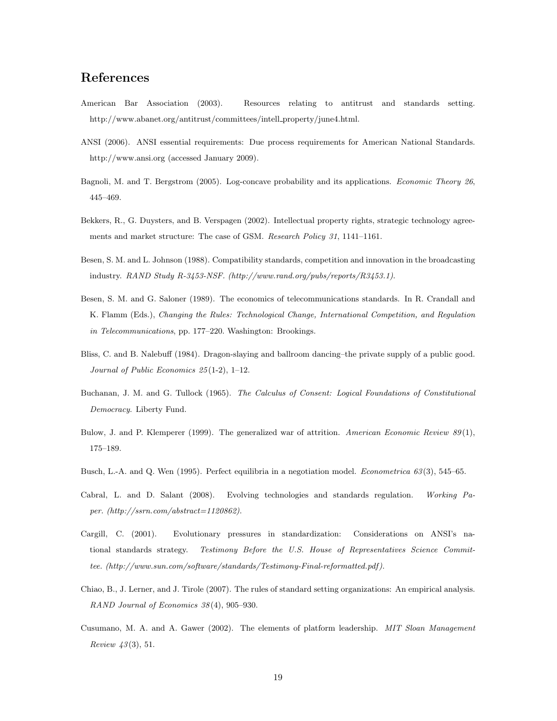# References

- American Bar Association (2003). Resources relating to antitrust and standards setting. http://www.abanet.org/antitrust/committees/intell property/june4.html.
- ANSI (2006). ANSI essential requirements: Due process requirements for American National Standards. http://www.ansi.org (accessed January 2009).
- Bagnoli, M. and T. Bergstrom (2005). Log-concave probability and its applications. Economic Theory 26, 445–469.
- Bekkers, R., G. Duysters, and B. Verspagen (2002). Intellectual property rights, strategic technology agreements and market structure: The case of GSM. Research Policy 31, 1141–1161.
- Besen, S. M. and L. Johnson (1988). Compatibility standards, competition and innovation in the broadcasting industry. RAND Study R-3453-NSF. (http://www.rand.org/pubs/reports/R3453.1).
- Besen, S. M. and G. Saloner (1989). The economics of telecommunications standards. In R. Crandall and K. Flamm (Eds.), Changing the Rules: Technological Change, International Competition, and Regulation in Telecommunications, pp. 177–220. Washington: Brookings.
- Bliss, C. and B. Nalebuff (1984). Dragon-slaying and ballroom dancing–the private supply of a public good. Journal of Public Economics 25 (1-2), 1–12.
- Buchanan, J. M. and G. Tullock (1965). The Calculus of Consent: Logical Foundations of Constitutional Democracy. Liberty Fund.
- Bulow, J. and P. Klemperer (1999). The generalized war of attrition. American Economic Review  $89(1)$ , 175–189.
- Busch, L.-A. and Q. Wen (1995). Perfect equilibria in a negotiation model. *Econometrica 63*(3), 545–65.
- Cabral, L. and D. Salant (2008). Evolving technologies and standards regulation. Working Paper. (http://ssrn.com/abstract=1120862).
- Cargill, C. (2001). Evolutionary pressures in standardization: Considerations on ANSI's national standards strategy. Testimony Before the U.S. House of Representatives Science Committee. (http://www.sun.com/software/standards/Testimony-Final-reformatted.pdf ).
- Chiao, B., J. Lerner, and J. Tirole (2007). The rules of standard setting organizations: An empirical analysis. RAND Journal of Economics 38 (4), 905–930.
- Cusumano, M. A. and A. Gawer (2002). The elements of platform leadership. MIT Sloan Management Review  $43(3)$ , 51.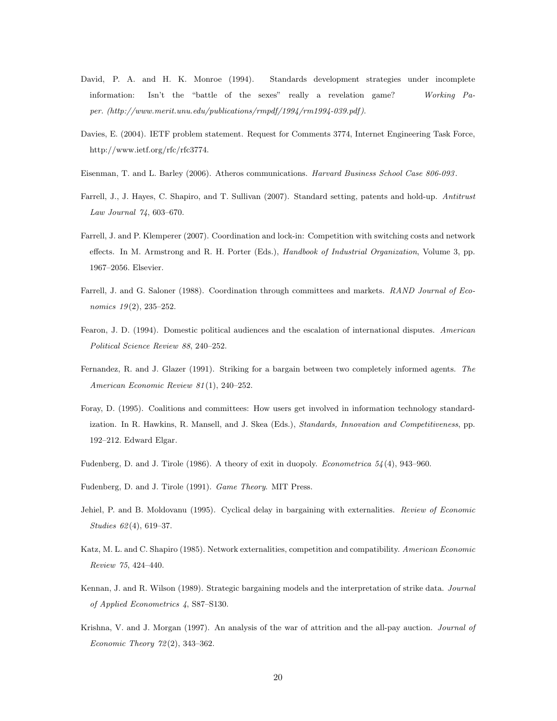- David, P. A. and H. K. Monroe (1994). Standards development strategies under incomplete information: Isn't the "battle of the sexes" really a revelation game? Working Paper. (http://www.merit.unu.edu/publications/rmpdf/1994/rm1994-039.pdf ).
- Davies, E. (2004). IETF problem statement. Request for Comments 3774, Internet Engineering Task Force, http://www.ietf.org/rfc/rfc3774.
- Eisenman, T. and L. Barley (2006). Atheros communications. Harvard Business School Case 806-093 .
- Farrell, J., J. Hayes, C. Shapiro, and T. Sullivan (2007). Standard setting, patents and hold-up. Antitrust Law Journal 74, 603–670.
- Farrell, J. and P. Klemperer (2007). Coordination and lock-in: Competition with switching costs and network effects. In M. Armstrong and R. H. Porter (Eds.), Handbook of Industrial Organization, Volume 3, pp. 1967–2056. Elsevier.
- Farrell, J. and G. Saloner (1988). Coordination through committees and markets. RAND Journal of Economics  $19(2)$ ,  $235-252$ .
- Fearon, J. D. (1994). Domestic political audiences and the escalation of international disputes. American Political Science Review 88, 240–252.
- Fernandez, R. and J. Glazer (1991). Striking for a bargain between two completely informed agents. The American Economic Review 81 (1), 240–252.
- Foray, D. (1995). Coalitions and committees: How users get involved in information technology standardization. In R. Hawkins, R. Mansell, and J. Skea (Eds.), Standards, Innovation and Competitiveness, pp. 192–212. Edward Elgar.
- Fudenberg, D. and J. Tirole (1986). A theory of exit in duopoly. *Econometrica*  $54(4)$ , 943–960.
- Fudenberg, D. and J. Tirole (1991). Game Theory. MIT Press.
- Jehiel, P. and B. Moldovanu (1995). Cyclical delay in bargaining with externalities. Review of Economic Studies 62(4), 619-37.
- Katz, M. L. and C. Shapiro (1985). Network externalities, competition and compatibility. American Economic Review 75, 424–440.
- Kennan, J. and R. Wilson (1989). Strategic bargaining models and the interpretation of strike data. Journal of Applied Econometrics 4, S87–S130.
- Krishna, V. and J. Morgan (1997). An analysis of the war of attrition and the all-pay auction. Journal of Economic Theory 72 (2), 343–362.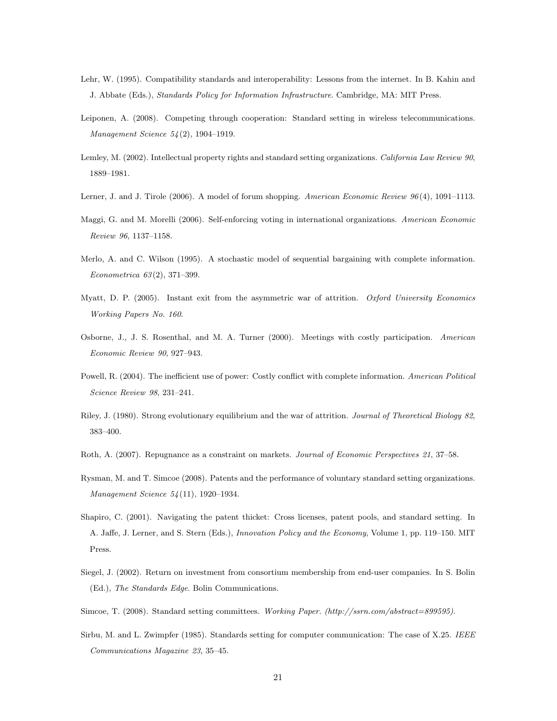- Lehr, W. (1995). Compatibility standards and interoperability: Lessons from the internet. In B. Kahin and J. Abbate (Eds.), Standards Policy for Information Infrastructure. Cambridge, MA: MIT Press.
- Leiponen, A. (2008). Competing through cooperation: Standard setting in wireless telecommunications. Management Science 54 (2), 1904–1919.
- Lemley, M. (2002). Intellectual property rights and standard setting organizations. California Law Review 90, 1889–1981.
- Lerner, J. and J. Tirole (2006). A model of forum shopping. American Economic Review  $96(4)$ , 1091–1113.
- Maggi, G. and M. Morelli (2006). Self-enforcing voting in international organizations. American Economic Review 96, 1137–1158.
- Merlo, A. and C. Wilson (1995). A stochastic model of sequential bargaining with complete information. Econometrica 63 (2), 371–399.
- Myatt, D. P. (2005). Instant exit from the asymmetric war of attrition. Oxford University Economics Working Papers No. 160.
- Osborne, J., J. S. Rosenthal, and M. A. Turner (2000). Meetings with costly participation. American Economic Review 90, 927–943.
- Powell, R. (2004). The inefficient use of power: Costly conflict with complete information. American Political Science Review 98, 231–241.
- Riley, J. (1980). Strong evolutionary equilibrium and the war of attrition. Journal of Theoretical Biology 82, 383–400.
- Roth, A. (2007). Repugnance as a constraint on markets. Journal of Economic Perspectives 21, 37–58.
- Rysman, M. and T. Simcoe (2008). Patents and the performance of voluntary standard setting organizations. Management Science 54 (11), 1920–1934.
- Shapiro, C. (2001). Navigating the patent thicket: Cross licenses, patent pools, and standard setting. In A. Jaffe, J. Lerner, and S. Stern (Eds.), Innovation Policy and the Economy, Volume 1, pp. 119–150. MIT Press.
- Siegel, J. (2002). Return on investment from consortium membership from end-user companies. In S. Bolin (Ed.), The Standards Edge. Bolin Communications.
- Simcoe, T. (2008). Standard setting committees. Working Paper. (http://ssrn.com/abstract=899595).
- Sirbu, M. and L. Zwimpfer (1985). Standards setting for computer communication: The case of X.25. IEEE Communications Magazine 23, 35–45.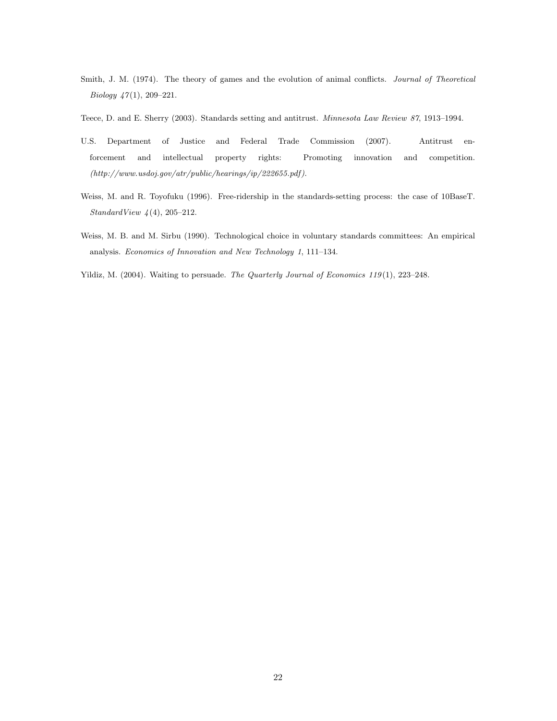Smith, J. M. (1974). The theory of games and the evolution of animal conflicts. Journal of Theoretical Biology  $47(1)$ , 209-221.

Teece, D. and E. Sherry (2003). Standards setting and antitrust. Minnesota Law Review 87, 1913–1994.

- U.S. Department of Justice and Federal Trade Commission (2007). Antitrust enforcement and intellectual property rights: Promoting innovation and competition.  $(http://www.usdoj.gov/atr/public/hearings/ip/222655.pdf).$
- Weiss, M. and R. Toyofuku (1996). Free-ridership in the standards-setting process: the case of 10BaseT.  $StandardView (4), 205–212.$
- Weiss, M. B. and M. Sirbu (1990). Technological choice in voluntary standards committees: An empirical analysis. Economics of Innovation and New Technology 1, 111–134.
- Yildiz, M. (2004). Waiting to persuade. The Quarterly Journal of Economics 119 (1), 223–248.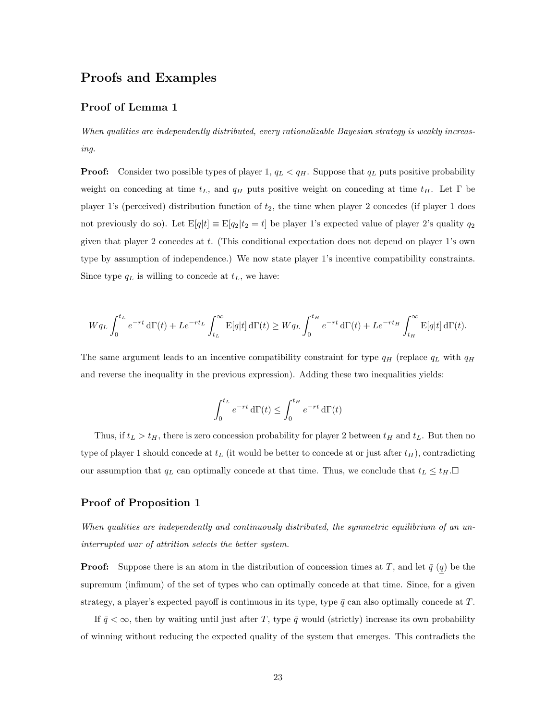# Proofs and Examples

## Proof of Lemma 1

When qualities are independently distributed, every rationalizable Bayesian strategy is weakly increasing.

**Proof:** Consider two possible types of player 1,  $q_L < q_H$ . Suppose that  $q_L$  puts positive probability weight on conceding at time  $t_L$ , and  $q_H$  puts positive weight on conceding at time  $t_H$ . Let  $\Gamma$  be player 1's (perceived) distribution function of  $t_2$ , the time when player 2 concedes (if player 1 does not previously do so). Let  $E[q|t] \equiv E[q_2|t_2 = t]$  be player 1's expected value of player 2's quality  $q_2$ given that player 2 concedes at t. (This conditional expectation does not depend on player 1's own type by assumption of independence.) We now state player 1's incentive compatibility constraints. Since type  $q_L$  is willing to concede at  $t_L$ , we have:

$$
Wq_L \int_0^{t_L} e^{-rt} d\Gamma(t) + Le^{-rt_L} \int_{t_L}^{\infty} E[q|t] d\Gamma(t) \ge Wq_L \int_0^{t_H} e^{-rt} d\Gamma(t) + Le^{-rt_H} \int_{t_H}^{\infty} E[q|t] d\Gamma(t).
$$

The same argument leads to an incentive compatibility constraint for type  $q_H$  (replace  $q_L$  with  $q_H$ and reverse the inequality in the previous expression). Adding these two inequalities yields:

$$
\int_0^{t_L} e^{-rt} \, d\Gamma(t) \le \int_0^{t_H} e^{-rt} \, d\Gamma(t)
$$

Thus, if  $t_L > t_H$ , there is zero concession probability for player 2 between  $t_H$  and  $t_L$ . But then no type of player 1 should concede at  $t_L$  (it would be better to concede at or just after  $t_H$ ), contradicting our assumption that  $q_L$  can optimally concede at that time. Thus, we conclude that  $t_L \leq t_H$ .

### Proof of Proposition 1

When qualities are independently and continuously distributed, the symmetric equilibrium of an uninterrupted war of attrition selects the better system.

**Proof:** Suppose there is an atom in the distribution of concession times at T, and let  $\bar{q}(q)$  be the supremum (infimum) of the set of types who can optimally concede at that time. Since, for a given strategy, a player's expected payoff is continuous in its type, type  $\bar{q}$  can also optimally concede at T.

If  $\bar{q} < \infty$ , then by waiting until just after T, type  $\bar{q}$  would (strictly) increase its own probability of winning without reducing the expected quality of the system that emerges. This contradicts the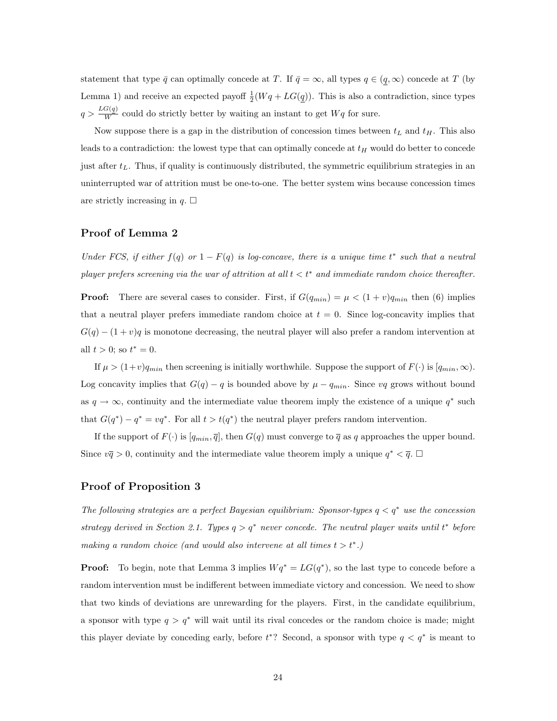statement that type  $\bar{q}$  can optimally concede at T. If  $\bar{q} = \infty$ , all types  $q \in (q, \infty)$  concede at T (by Lemma 1) and receive an expected payoff  $\frac{1}{2}(Wq + LG(q))$ . This is also a contradiction, since types  $q > \frac{LG(q)}{W}$  could do strictly better by waiting an instant to get  $Wq$  for sure.

Now suppose there is a gap in the distribution of concession times between  $t<sub>L</sub>$  and  $t<sub>H</sub>$ . This also leads to a contradiction: the lowest type that can optimally concede at  $t_H$  would do better to concede just after  $t_L$ . Thus, if quality is continuously distributed, the symmetric equilibrium strategies in an uninterrupted war of attrition must be one-to-one. The better system wins because concession times are strictly increasing in  $q$ .  $\Box$ 

#### Proof of Lemma 2

Under FCS, if either  $f(q)$  or  $1 - F(q)$  is log-concave, there is a unique time  $t^*$  such that a neutral player prefers screening via the war of attrition at all  $t < t^*$  and immediate random choice thereafter.

**Proof:** There are several cases to consider. First, if  $G(q_{min}) = \mu < (1 + v)q_{min}$  then (6) implies that a neutral player prefers immediate random choice at  $t = 0$ . Since log-concavity implies that  $G(q) - (1 + v)q$  is monotone decreasing, the neutral player will also prefer a random intervention at all  $t > 0$ ; so  $t^* = 0$ .

If  $\mu > (1+v)q_{min}$  then screening is initially worthwhile. Suppose the support of  $F(\cdot)$  is  $[q_{min}, \infty)$ . Log concavity implies that  $G(q) - q$  is bounded above by  $\mu - q_{min}$ . Since vq grows without bound as  $q \to \infty$ , continuity and the intermediate value theorem imply the existence of a unique  $q^*$  such that  $G(q^*) - q^* = vq^*$ . For all  $t > t(q^*)$  the neutral player prefers random intervention.

If the support of  $F(\cdot)$  is  $[q_{min}, \overline{q}]$ , then  $G(q)$  must converge to  $\overline{q}$  as q approaches the upper bound. Since  $v\bar{q} > 0$ , continuity and the intermediate value theorem imply a unique  $q^* < \bar{q}$ .

### Proof of Proposition 3

The following strategies are a perfect Bayesian equilibrium: Sponsor-types  $q < q^*$  use the concession strategy derived in Section 2.1. Types  $q > q^*$  never concede. The neutral player waits until  $t^*$  before making a random choice (and would also intervene at all times  $t > t^*$ .)

**Proof:** To begin, note that Lemma 3 implies  $Wq^* = LG(q^*)$ , so the last type to concede before a random intervention must be indifferent between immediate victory and concession. We need to show that two kinds of deviations are unrewarding for the players. First, in the candidate equilibrium, a sponsor with type  $q > q^*$  will wait until its rival concedes or the random choice is made; might this player deviate by conceding early, before  $t^*$ ? Second, a sponsor with type  $q < q^*$  is meant to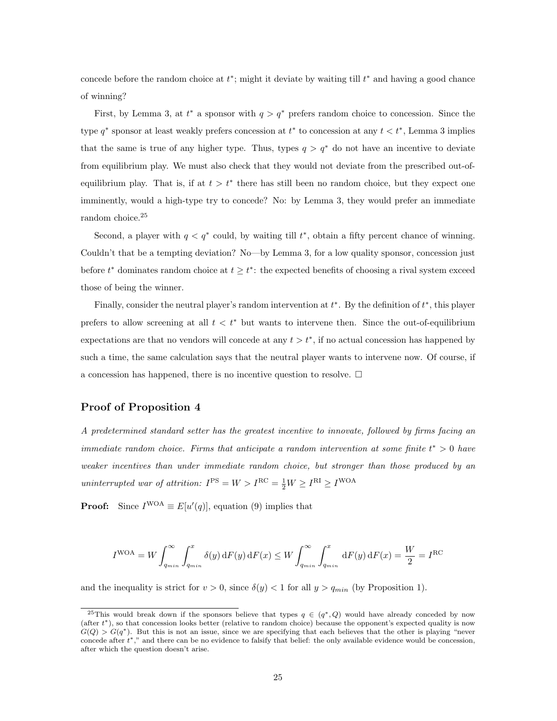concede before the random choice at  $t^*$ ; might it deviate by waiting till  $t^*$  and having a good chance of winning?

First, by Lemma 3, at  $t^*$  a sponsor with  $q > q^*$  prefers random choice to concession. Since the type  $q^*$  sponsor at least weakly prefers concession at  $t^*$  to concession at any  $t < t^*$ , Lemma 3 implies that the same is true of any higher type. Thus, types  $q > q^*$  do not have an incentive to deviate from equilibrium play. We must also check that they would not deviate from the prescribed out-ofequilibrium play. That is, if at  $t > t^*$  there has still been no random choice, but they expect one imminently, would a high-type try to concede? No: by Lemma 3, they would prefer an immediate random choice.<sup>25</sup>

Second, a player with  $q < q^*$  could, by waiting till  $t^*$ , obtain a fifty percent chance of winning. Couldn't that be a tempting deviation? No—by Lemma 3, for a low quality sponsor, concession just before  $t^*$  dominates random choice at  $t \geq t^*$ : the expected benefits of choosing a rival system exceed those of being the winner.

Finally, consider the neutral player's random intervention at  $t^*$ . By the definition of  $t^*$ , this player prefers to allow screening at all  $t < t^*$  but wants to intervene then. Since the out-of-equilibrium expectations are that no vendors will concede at any  $t > t^*$ , if no actual concession has happened by such a time, the same calculation says that the neutral player wants to intervene now. Of course, if a concession has happened, there is no incentive question to resolve.  $\Box$ 

### Proof of Proposition 4

A predetermined standard setter has the greatest incentive to innovate, followed by firms facing an immediate random choice. Firms that anticipate a random intervention at some finite  $t^* > 0$  have weaker incentives than under immediate random choice, but stronger than those produced by an uninterrupted war of attrition:  $I^{PS} = W > I^{RC} = \frac{1}{2}W \geq I^{RI} \geq I^{WOA}$ 

**Proof:** Since  $I^{WOA} \equiv E[u'(q)]$ , equation (9) implies that

$$
I^{\text{WOA}} = W \int_{q_{min}}^{\infty} \int_{q_{min}}^{x} \delta(y) dF(y) dF(x) \le W \int_{q_{min}}^{\infty} \int_{q_{min}}^{x} dF(y) dF(x) = \frac{W}{2} = I^{\text{RC}}
$$

and the inequality is strict for  $v > 0$ , since  $\delta(y) < 1$  for all  $y > q_{min}$  (by Proposition 1).

<sup>&</sup>lt;sup>25</sup>This would break down if the sponsors believe that types  $q \in (q^*,Q)$  would have already conceded by now (after t <sup>∗</sup>), so that concession looks better (relative to random choice) because the opponent's expected quality is now  $G(Q) > G(q^*)$ . But this is not an issue, since we are specifying that each believes that the other is playing "never concede after t <sup>∗</sup>," and there can be no evidence to falsify that belief: the only available evidence would be concession, after which the question doesn't arise.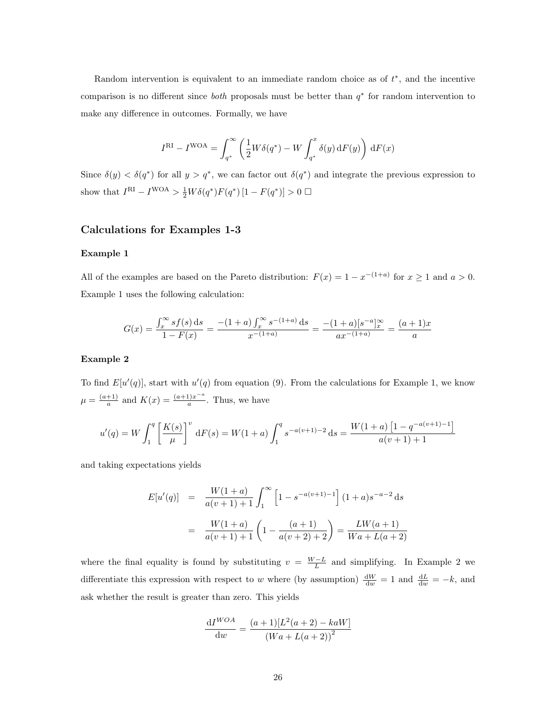Random intervention is equivalent to an immediate random choice as of  $t^*$ , and the incentive comparison is no different since *both* proposals must be better than  $q^*$  for random intervention to make any difference in outcomes. Formally, we have

$$
I^{\rm RI} - I^{\rm WOA} = \int_{q^*}^{\infty} \left( \frac{1}{2} W \delta(q^*) - W \int_{q^*}^x \delta(y) \, dF(y) \right) dF(x)
$$

Since  $\delta(y) < \delta(q^*)$  for all  $y > q^*$ , we can factor out  $\delta(q^*)$  and integrate the previous expression to show that  $I^{\text{RI}} - I^{\text{WOA}} > \frac{1}{2}W\delta(q^*)F(q^*)[1 - F(q^*)] > 0$ 

### Calculations for Examples 1-3

#### Example 1

All of the examples are based on the Pareto distribution:  $F(x) = 1 - x^{-(1+a)}$  for  $x \ge 1$  and  $a > 0$ . Example 1 uses the following calculation:

$$
G(x) = \frac{\int_x^{\infty} s f(s) ds}{1 - F(x)} = \frac{-(1+a) \int_x^{\infty} s^{-(1+a)} ds}{x^{-(1+a)}} = \frac{-(1+a) [s^{-a}]_x^{\infty}}{ax^{-(1+a)}} = \frac{(a+1)x}{a}
$$

#### Example 2

To find  $E[u'(q)]$ , start with  $u'(q)$  from equation (9). From the calculations for Example 1, we know  $\mu = \frac{(a+1)}{a}$  $\frac{+1}{a}$  and  $K(x) = \frac{(a+1)x^{-a}}{a}$  $\frac{a}{a}$ . Thus, we have

$$
u'(q) = W \int_1^q \left[ \frac{K(s)}{\mu} \right]^v dF(s) = W(1+a) \int_1^q s^{-a(v+1)-2} ds = \frac{W(1+a) \left[ 1 - q^{-a(v+1)-1} \right]}{a(v+1)+1}
$$

and taking expectations yields

$$
E[u'(q)] = \frac{W(1+a)}{a(v+1)+1} \int_1^{\infty} \left[1 - s^{-a(v+1)-1}\right] (1+a) s^{-a-2} ds
$$

$$
= \frac{W(1+a)}{a(v+1)+1} \left(1 - \frac{(a+1)}{a(v+2)+2}\right) = \frac{LW(a+1)}{Wa + L(a+2)}
$$

where the final equality is found by substituting  $v = \frac{W - L}{L}$  and simplifying. In Example 2 we differentiate this expression with respect to w where (by assumption)  $\frac{dW}{dw} = 1$  and  $\frac{dL}{dw} = -k$ , and ask whether the result is greater than zero. This yields

$$
\frac{\mathrm{d}I^{WOA}}{\mathrm{d}w} = \frac{(a+1)[L^{2}(a+2) - kaW]}{(Wa + L(a+2))^{2}}
$$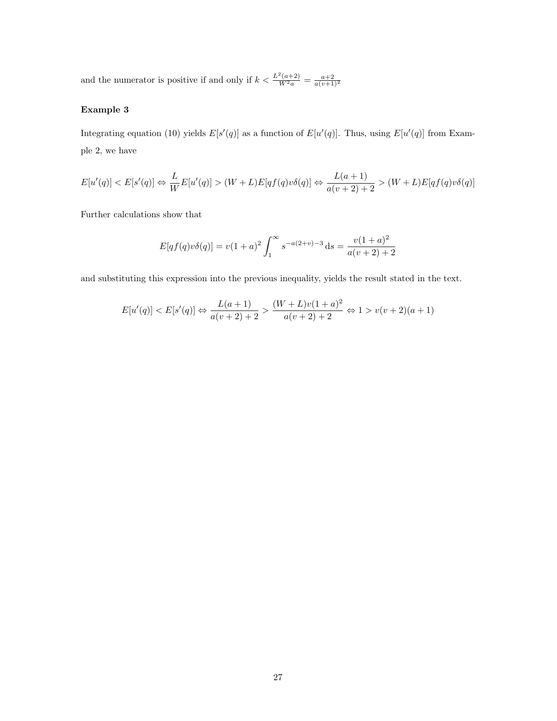and the numerator is positive if and only if  $k < \frac{L^2(a+2)}{W^2a} = \frac{a+2}{a(v+1)^2}$ 

### Example 3

Integrating equation (10) yields  $E[s'(q)]$  as a function of  $E[u'(q)]$ . Thus, using  $E[u'(q)]$  from Example 2, we have

$$
E[u'(q)] < E[s'(q)] \Leftrightarrow \frac{L}{W}E[u'(q)] > (W+L)E[qf(q)v\delta(q)] \Leftrightarrow \frac{L(a+1)}{a(v+2)+2} > (W+L)E[qf(q)v\delta(q)]
$$

Further calculations show that

$$
E[qf(q)v\delta(q)] = v(1+a)^2 \int_1^{\infty} s^{-a(2+v)-3} ds = \frac{v(1+a)^2}{a(v+2)+2}
$$

and substituting this expression into the previous inequality, yields the result stated in the text.

$$
E[u'(q)] < E[s'(q)] \Leftrightarrow \frac{L(a+1)}{a(v+2)+2} > \frac{(W+L)v(1+a)^2}{a(v+2)+2} \Leftrightarrow 1 > v(v+2)(a+1)
$$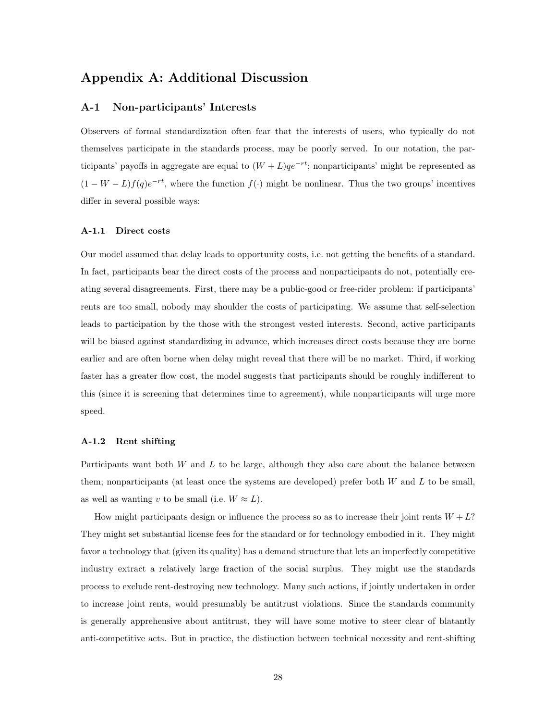# Appendix A: Additional Discussion

### A-1 Non-participants' Interests

Observers of formal standardization often fear that the interests of users, who typically do not themselves participate in the standards process, may be poorly served. In our notation, the participants' payoffs in aggregate are equal to  $(W + L)qe^{-rt}$ ; nonparticipants' might be represented as  $(1 - W - L)f(q)e^{-rt}$ , where the function  $f(\cdot)$  might be nonlinear. Thus the two groups' incentives differ in several possible ways:

#### A-1.1 Direct costs

Our model assumed that delay leads to opportunity costs, i.e. not getting the benefits of a standard. In fact, participants bear the direct costs of the process and nonparticipants do not, potentially creating several disagreements. First, there may be a public-good or free-rider problem: if participants' rents are too small, nobody may shoulder the costs of participating. We assume that self-selection leads to participation by the those with the strongest vested interests. Second, active participants will be biased against standardizing in advance, which increases direct costs because they are borne earlier and are often borne when delay might reveal that there will be no market. Third, if working faster has a greater flow cost, the model suggests that participants should be roughly indifferent to this (since it is screening that determines time to agreement), while nonparticipants will urge more speed.

#### A-1.2 Rent shifting

Participants want both W and L to be large, although they also care about the balance between them; nonparticipants (at least once the systems are developed) prefer both  $W$  and  $L$  to be small, as well as wanting v to be small (i.e.  $W \approx L$ ).

How might participants design or influence the process so as to increase their joint rents  $W + L$ ? They might set substantial license fees for the standard or for technology embodied in it. They might favor a technology that (given its quality) has a demand structure that lets an imperfectly competitive industry extract a relatively large fraction of the social surplus. They might use the standards process to exclude rent-destroying new technology. Many such actions, if jointly undertaken in order to increase joint rents, would presumably be antitrust violations. Since the standards community is generally apprehensive about antitrust, they will have some motive to steer clear of blatantly anti-competitive acts. But in practice, the distinction between technical necessity and rent-shifting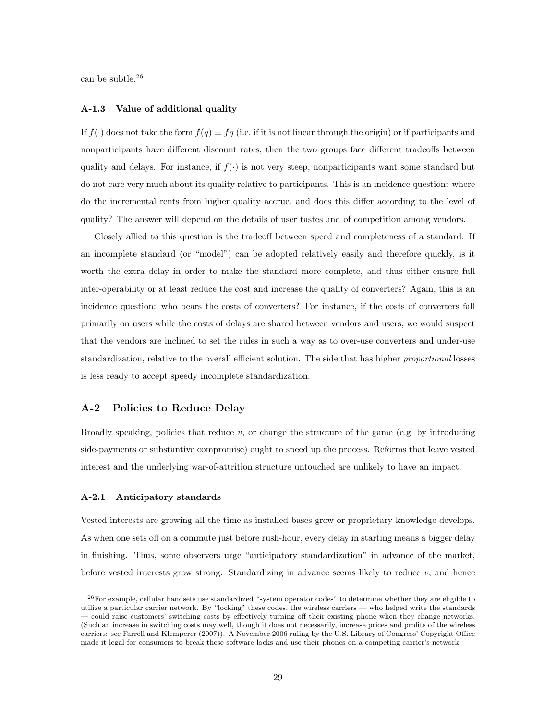can be subtle.<sup>26</sup>

#### A-1.3 Value of additional quality

If  $f(\cdot)$  does not take the form  $f(q) \equiv f(q)$  (i.e. if it is not linear through the origin) or if participants and nonparticipants have different discount rates, then the two groups face different tradeoffs between quality and delays. For instance, if  $f(\cdot)$  is not very steep, nonparticipants want some standard but do not care very much about its quality relative to participants. This is an incidence question: where do the incremental rents from higher quality accrue, and does this differ according to the level of quality? The answer will depend on the details of user tastes and of competition among vendors.

Closely allied to this question is the tradeoff between speed and completeness of a standard. If an incomplete standard (or "model") can be adopted relatively easily and therefore quickly, is it worth the extra delay in order to make the standard more complete, and thus either ensure full inter-operability or at least reduce the cost and increase the quality of converters? Again, this is an incidence question: who bears the costs of converters? For instance, if the costs of converters fall primarily on users while the costs of delays are shared between vendors and users, we would suspect that the vendors are inclined to set the rules in such a way as to over-use converters and under-use standardization, relative to the overall efficient solution. The side that has higher proportional losses is less ready to accept speedy incomplete standardization.

### A-2 Policies to Reduce Delay

Broadly speaking, policies that reduce v, or change the structure of the game (e.g. by introducing side-payments or substantive compromise) ought to speed up the process. Reforms that leave vested interest and the underlying war-of-attrition structure untouched are unlikely to have an impact.

#### A-2.1 Anticipatory standards

Vested interests are growing all the time as installed bases grow or proprietary knowledge develops. As when one sets off on a commute just before rush-hour, every delay in starting means a bigger delay in finishing. Thus, some observers urge "anticipatory standardization" in advance of the market, before vested interests grow strong. Standardizing in advance seems likely to reduce  $v$ , and hence

<sup>26</sup>For example, cellular handsets use standardized "system operator codes" to determine whether they are eligible to utilize a particular carrier network. By "locking" these codes, the wireless carriers — who helped write the standards — could raise customers' switching costs by effectively turning off their existing phone when they change networks. (Such an increase in switching costs may well, though it does not necessarily, increase prices and profits of the wireless carriers: see Farrell and Klemperer (2007)). A November 2006 ruling by the U.S. Library of Congress' Copyright Office made it legal for consumers to break these software locks and use their phones on a competing carrier's network.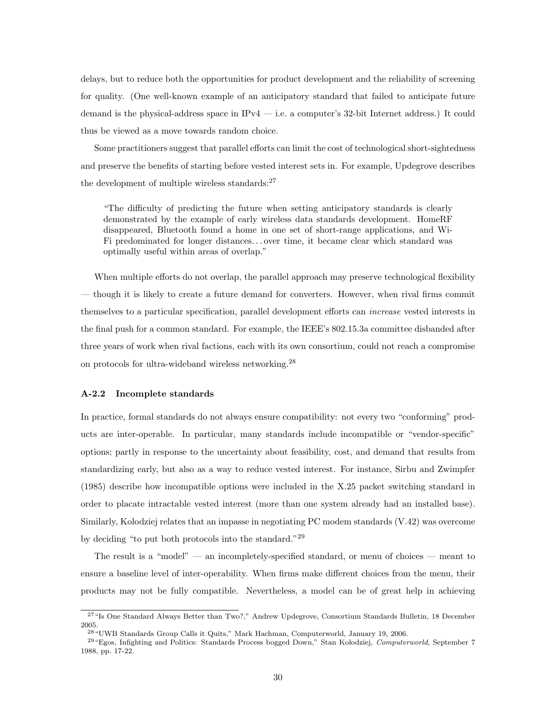delays, but to reduce both the opportunities for product development and the reliability of screening for quality. (One well-known example of an anticipatory standard that failed to anticipate future demand is the physical-address space in IPv4 — i.e. a computer's 32-bit Internet address.) It could thus be viewed as a move towards random choice.

Some practitioners suggest that parallel efforts can limit the cost of technological short-sightedness and preserve the benefits of starting before vested interest sets in. For example, Updegrove describes the development of multiple wireless standards: $27$ 

"The difficulty of predicting the future when setting anticipatory standards is clearly demonstrated by the example of early wireless data standards development. HomeRF disappeared, Bluetooth found a home in one set of short-range applications, and Wi-Fi predominated for longer distances. . . over time, it became clear which standard was optimally useful within areas of overlap."

When multiple efforts do not overlap, the parallel approach may preserve technological flexibility — though it is likely to create a future demand for converters. However, when rival firms commit themselves to a particular specification, parallel development efforts can increase vested interests in the final push for a common standard. For example, the IEEE's 802.15.3a committee disbanded after three years of work when rival factions, each with its own consortium, could not reach a compromise on protocols for ultra-wideband wireless networking.<sup>28</sup>

#### A-2.2 Incomplete standards

In practice, formal standards do not always ensure compatibility: not every two "conforming" products are inter-operable. In particular, many standards include incompatible or "vendor-specific" options; partly in response to the uncertainty about feasibility, cost, and demand that results from standardizing early, but also as a way to reduce vested interest. For instance, Sirbu and Zwimpfer (1985) describe how incompatible options were included in the X.25 packet switching standard in order to placate intractable vested interest (more than one system already had an installed base). Similarly, Kolodziej relates that an impasse in negotiating PC modem standards (V.42) was overcome by deciding "to put both protocols into the standard."<sup>29</sup>

The result is a "model" — an incompletely-specified standard, or menu of choices — meant to ensure a baseline level of inter-operability. When firms make different choices from the menu, their products may not be fully compatible. Nevertheless, a model can be of great help in achieving

<sup>&</sup>lt;sup>27</sup>"Is One Standard Always Better than Two?," Andrew Updegrove, Consortium Standards Bulletin, 18 December 2005.

<sup>28</sup>"UWB Standards Group Calls it Quits," Mark Hachman, Computerworld, January 19, 2006.

<sup>&</sup>lt;sup>29</sup> "Egos, Infighting and Politics: Standards Process bogged Down," Stan Kolodziej, Computerworld, September 7 1988, pp. 17-22.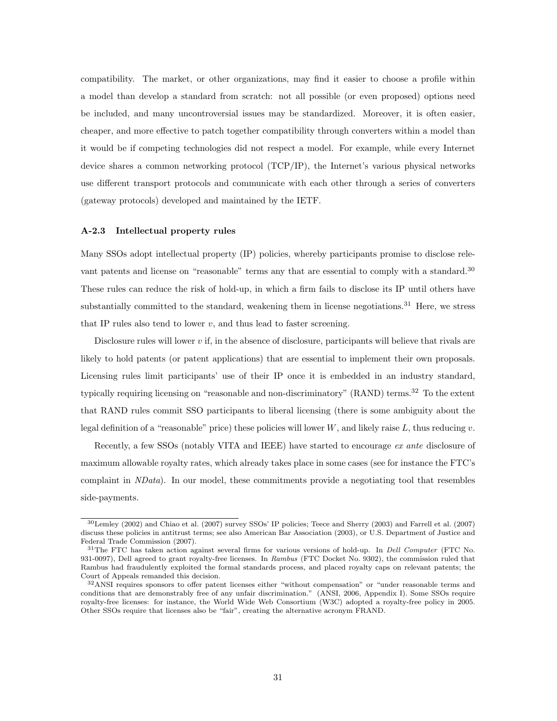compatibility. The market, or other organizations, may find it easier to choose a profile within a model than develop a standard from scratch: not all possible (or even proposed) options need be included, and many uncontroversial issues may be standardized. Moreover, it is often easier, cheaper, and more effective to patch together compatibility through converters within a model than it would be if competing technologies did not respect a model. For example, while every Internet device shares a common networking protocol (TCP/IP), the Internet's various physical networks use different transport protocols and communicate with each other through a series of converters (gateway protocols) developed and maintained by the IETF.

#### A-2.3 Intellectual property rules

Many SSOs adopt intellectual property (IP) policies, whereby participants promise to disclose relevant patents and license on "reasonable" terms any that are essential to comply with a standard.<sup>30</sup> These rules can reduce the risk of hold-up, in which a firm fails to disclose its IP until others have substantially committed to the standard, weakening them in license negotiations.<sup>31</sup> Here, we stress that IP rules also tend to lower  $v$ , and thus lead to faster screening.

Disclosure rules will lower  $v$  if, in the absence of disclosure, participants will believe that rivals are likely to hold patents (or patent applications) that are essential to implement their own proposals. Licensing rules limit participants' use of their IP once it is embedded in an industry standard, typically requiring licensing on "reasonable and non-discriminatory" (RAND) terms.<sup>32</sup> To the extent that RAND rules commit SSO participants to liberal licensing (there is some ambiguity about the legal definition of a "reasonable" price) these policies will lower W, and likely raise L, thus reducing v.

Recently, a few SSOs (notably VITA and IEEE) have started to encourage ex ante disclosure of maximum allowable royalty rates, which already takes place in some cases (see for instance the FTC's complaint in NData). In our model, these commitments provide a negotiating tool that resembles side-payments.

<sup>30</sup>Lemley (2002) and Chiao et al. (2007) survey SSOs' IP policies; Teece and Sherry (2003) and Farrell et al. (2007) discuss these policies in antitrust terms; see also American Bar Association (2003), or U.S. Department of Justice and Federal Trade Commission (2007).

<sup>&</sup>lt;sup>31</sup>The FTC has taken action against several firms for various versions of hold-up. In *Dell Computer* (FTC No. 931-0097), Dell agreed to grant royalty-free licenses. In Rambus (FTC Docket No. 9302), the commission ruled that Rambus had fraudulently exploited the formal standards process, and placed royalty caps on relevant patents; the Court of Appeals remanded this decision.

<sup>32</sup>ANSI requires sponsors to offer patent licenses either "without compensation" or "under reasonable terms and conditions that are demonstrably free of any unfair discrimination." (ANSI, 2006, Appendix I). Some SSOs require royalty-free licenses: for instance, the World Wide Web Consortium (W3C) adopted a royalty-free policy in 2005. Other SSOs require that licenses also be "fair", creating the alternative acronym FRAND.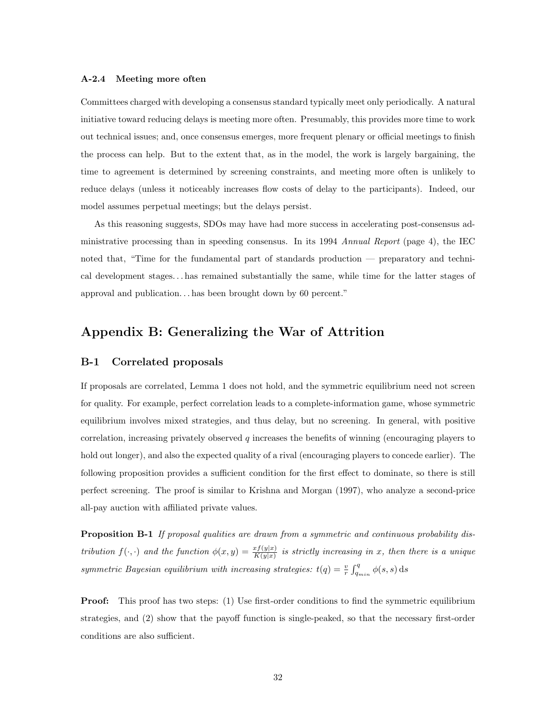#### A-2.4 Meeting more often

Committees charged with developing a consensus standard typically meet only periodically. A natural initiative toward reducing delays is meeting more often. Presumably, this provides more time to work out technical issues; and, once consensus emerges, more frequent plenary or official meetings to finish the process can help. But to the extent that, as in the model, the work is largely bargaining, the time to agreement is determined by screening constraints, and meeting more often is unlikely to reduce delays (unless it noticeably increases flow costs of delay to the participants). Indeed, our model assumes perpetual meetings; but the delays persist.

As this reasoning suggests, SDOs may have had more success in accelerating post-consensus administrative processing than in speeding consensus. In its 1994 Annual Report (page 4), the IEC noted that, "Time for the fundamental part of standards production — preparatory and technical development stages. . . has remained substantially the same, while time for the latter stages of approval and publication. . . has been brought down by 60 percent."

# Appendix B: Generalizing the War of Attrition

#### B-1 Correlated proposals

If proposals are correlated, Lemma 1 does not hold, and the symmetric equilibrium need not screen for quality. For example, perfect correlation leads to a complete-information game, whose symmetric equilibrium involves mixed strategies, and thus delay, but no screening. In general, with positive correlation, increasing privately observed  $q$  increases the benefits of winning (encouraging players to hold out longer), and also the expected quality of a rival (encouraging players to concede earlier). The following proposition provides a sufficient condition for the first effect to dominate, so there is still perfect screening. The proof is similar to Krishna and Morgan (1997), who analyze a second-price all-pay auction with affiliated private values.

Proposition B-1 If proposal qualities are drawn from a symmetric and continuous probability distribution  $f(\cdot, \cdot)$  and the function  $\phi(x, y) = \frac{x f(y|x)}{K(y|x)}$  is strictly increasing in x, then there is a unique symmetric Bayesian equilibrium with increasing strategies:  $t(q) = \frac{v}{r} \int_{q_{min}}^{q} \phi(s, s) ds$ 

**Proof:** This proof has two steps: (1) Use first-order conditions to find the symmetric equilibrium strategies, and (2) show that the payoff function is single-peaked, so that the necessary first-order conditions are also sufficient.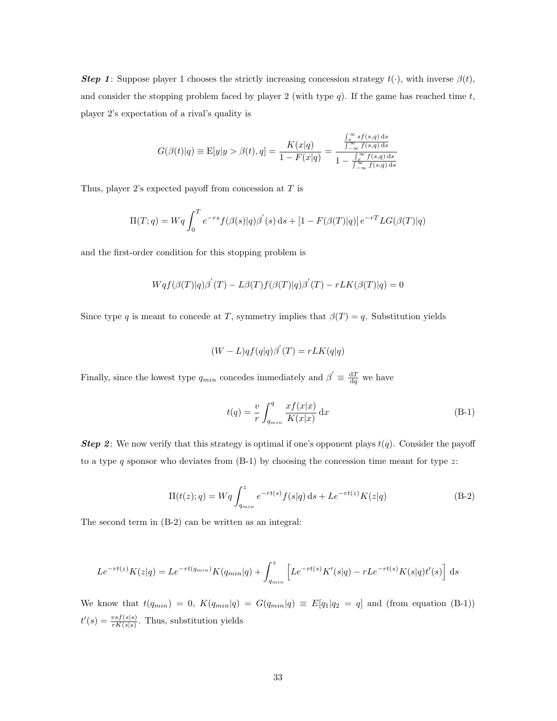**Step 1:** Suppose player 1 chooses the strictly increasing concession strategy  $t(\cdot)$ , with inverse  $\beta(t)$ , and consider the stopping problem faced by player 2 (with type q). If the game has reached time  $t$ , player 2's expectation of a rival's quality is

$$
G(\beta(t)|q) \equiv \mathbf{E}[y|y > \beta(t), q] = \frac{K(x|q)}{1 - F(x|q)} = \frac{\int_{\infty}^{\infty} s f(s,q) ds}{1 - \int_{-\infty}^{\infty} f(s,q) ds}
$$

Thus, player 2's expected payoff from concession at  $T$  is

$$
\Pi(T; q) = Wq \int_0^T e^{-rs} f(\beta(s)|q) \beta'(s) ds + [1 - F(\beta(T)|q)] e^{-rT} LG(\beta(T)|q)
$$

and the first-order condition for this stopping problem is

$$
Wqf(\beta(T)|q)\beta^{'}(T) - L\beta(T)f(\beta(T)|q)\beta^{'}(T) - rLK(\beta(T)|q) = 0
$$

Since type q is meant to concede at T, symmetry implies that  $\beta(T) = q$ . Substitution yields

$$
(W - L)qf(q|q)\beta'(T) = rLK(q|q)
$$

Finally, since the lowest type  $q_{min}$  concedes immediately and  $\beta' \equiv \frac{dT}{dq}$  we have

$$
t(q) = \frac{v}{r} \int_{q_{min}}^{q} \frac{x f(x|x)}{K(x|x)} dx
$$
 (B-1)

**Step 2:** We now verify that this strategy is optimal if one's opponent plays  $t(q)$ . Consider the payoff to a type q sponsor who deviates from  $(B-1)$  by choosing the concession time meant for type z:

$$
\Pi(t(z);q) = Wq \int_{q_{min}}^{z} e^{-rt(s)} f(s|q) ds + Le^{-rt(z)} K(z|q)
$$
\n(B-2)

The second term in (B-2) can be written as an integral:

$$
Le^{-rt(z)}K(z|q) = Le^{-rt(q_{min})}K(q_{min}|q) + \int_{q_{min}}^{z} \left[Le^{-rt(s)}K'(s|q) - rLe^{-rt(s)}K(s|q)t'(s)\right] ds
$$

We know that  $t(q_{min}) = 0$ ,  $K(q_{min}|q) = G(q_{min}|q) \equiv E[q_1|q_2 = q]$  and (from equation (B-1))  $t'(s) = \frac{vsf(s|s)}{rK(s|s)}$ . Thus, substitution yields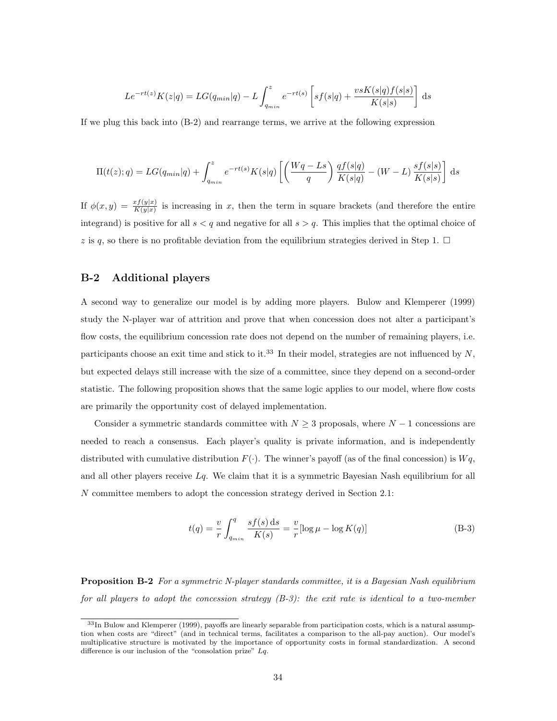$$
Le^{-rt(z)}K(z|q) = LG(q_{min}|q) - L \int_{q_{min}}^{z} e^{-rt(s)} \left[ sf(s|q) + \frac{v s K(s|q) f(s|s)}{K(s|s)} \right] ds
$$

If we plug this back into (B-2) and rearrange terms, we arrive at the following expression

$$
\Pi(t(z);q) = LG(q_{min}|q) + \int_{q_{min}}^{z} e^{-rt(s)} K(s|q) \left[ \left( \frac{Wq - Ls}{q} \right) \frac{q f(s|q)}{K(s|q)} - (W - L) \frac{sf(s|s)}{K(s|s)} \right] ds
$$

If  $\phi(x,y) = \frac{x f(y|x)}{K(y|x)}$  is increasing in x, then the term in square brackets (and therefore the entire integrand) is positive for all  $s < q$  and negative for all  $s > q$ . This implies that the optimal choice of z is q, so there is no profitable deviation from the equilibrium strategies derived in Step 1.  $\Box$ 

### B-2 Additional players

A second way to generalize our model is by adding more players. Bulow and Klemperer (1999) study the N-player war of attrition and prove that when concession does not alter a participant's flow costs, the equilibrium concession rate does not depend on the number of remaining players, i.e. participants choose an exit time and stick to it.<sup>33</sup> In their model, strategies are not influenced by  $N$ , but expected delays still increase with the size of a committee, since they depend on a second-order statistic. The following proposition shows that the same logic applies to our model, where flow costs are primarily the opportunity cost of delayed implementation.

Consider a symmetric standards committee with  $N \geq 3$  proposals, where  $N-1$  concessions are needed to reach a consensus. Each player's quality is private information, and is independently distributed with cumulative distribution  $F(\cdot)$ . The winner's payoff (as of the final concession) is  $Wq$ , and all other players receive  $Lq$ . We claim that it is a symmetric Bayesian Nash equilibrium for all N committee members to adopt the concession strategy derived in Section 2.1:

$$
t(q) = \frac{v}{r} \int_{q_{min}}^{q} \frac{s f(s) \, \mathrm{d}s}{K(s)} = \frac{v}{r} [\log \mu - \log K(q)] \tag{B-3}
$$

Proposition B-2 For a symmetric N-player standards committee, it is a Bayesian Nash equilibrium for all players to adopt the concession strategy  $(B-3)$ : the exit rate is identical to a two-member

<sup>33</sup>In Bulow and Klemperer (1999), payoffs are linearly separable from participation costs, which is a natural assumption when costs are "direct" (and in technical terms, facilitates a comparison to the all-pay auction). Our model's multiplicative structure is motivated by the importance of opportunity costs in formal standardization. A second difference is our inclusion of the "consolation prize" Lq.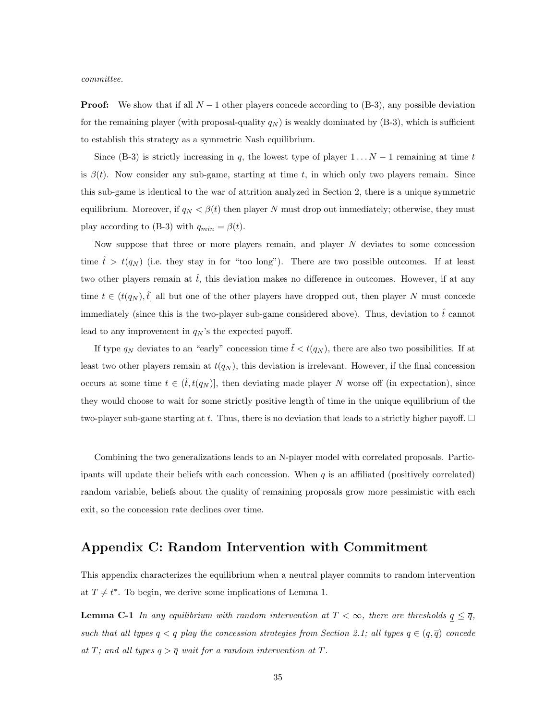committee.

**Proof:** We show that if all  $N - 1$  other players concede according to (B-3), any possible deviation for the remaining player (with proposal-quality  $q_N$ ) is weakly dominated by (B-3), which is sufficient to establish this strategy as a symmetric Nash equilibrium.

Since (B-3) is strictly increasing in q, the lowest type of player  $1 \dots N-1$  remaining at time t is  $\beta(t)$ . Now consider any sub-game, starting at time t, in which only two players remain. Since this sub-game is identical to the war of attrition analyzed in Section 2, there is a unique symmetric equilibrium. Moreover, if  $q_N < \beta(t)$  then player N must drop out immediately; otherwise, they must play according to (B-3) with  $q_{min} = \beta(t)$ .

Now suppose that three or more players remain, and player  $N$  deviates to some concession time  $\hat{t} > t(q_N)$  (i.e. they stay in for "too long"). There are two possible outcomes. If at least two other players remain at  $\hat{t}$ , this deviation makes no difference in outcomes. However, if at any time  $t \in (t(q_N), \hat{t}]$  all but one of the other players have dropped out, then player N must concede immediately (since this is the two-player sub-game considered above). Thus, deviation to  $\hat{t}$  cannot lead to any improvement in  $q_N$ 's the expected payoff.

If type  $q_N$  deviates to an "early" concession time  $\tilde{t} < t(q_N)$ , there are also two possibilities. If at least two other players remain at  $t(q_N)$ , this deviation is irrelevant. However, if the final concession occurs at some time  $t \in (\tilde{t}, t(q_N)]$ , then deviating made player N worse off (in expectation), since they would choose to wait for some strictly positive length of time in the unique equilibrium of the two-player sub-game starting at t. Thus, there is no deviation that leads to a strictly higher payoff.  $\Box$ 

Combining the two generalizations leads to an N-player model with correlated proposals. Participants will update their beliefs with each concession. When  $q$  is an affiliated (positively correlated) random variable, beliefs about the quality of remaining proposals grow more pessimistic with each exit, so the concession rate declines over time.

# Appendix C: Random Intervention with Commitment

This appendix characterizes the equilibrium when a neutral player commits to random intervention at  $T \neq t^*$ . To begin, we derive some implications of Lemma 1.

**Lemma C-1** In any equilibrium with random intervention at  $T < \infty$ , there are thresholds  $q \leq \bar{q}$ , such that all types  $q < q$  play the concession strategies from Section 2.1; all types  $q \in (q, \overline{q})$  concede at T; and all types  $q > \overline{q}$  wait for a random intervention at T.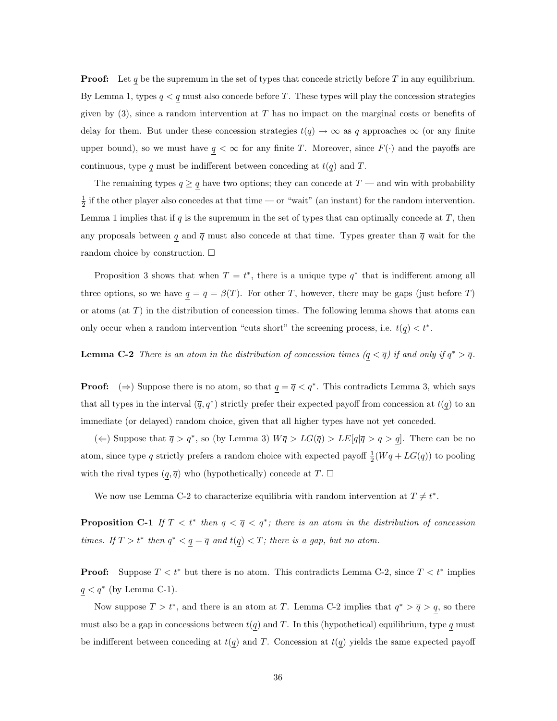**Proof:** Let q be the supremum in the set of types that concede strictly before T in any equilibrium. By Lemma 1, types  $q < q$  must also concede before T. These types will play the concession strategies given by  $(3)$ , since a random intervention at T has no impact on the marginal costs or benefits of delay for them. But under these concession strategies  $t(q) \to \infty$  as q approaches  $\infty$  (or any finite upper bound), so we must have  $q < \infty$  for any finite T. Moreover, since  $F(\cdot)$  and the payoffs are continuous, type q must be indifferent between conceding at  $t(q)$  and T.

The remaining types  $q \ge q$  have two options; they can concede at  $T$  — and win with probability  $\frac{1}{2}$  if the other player also concedes at that time — or "wait" (an instant) for the random intervention. Lemma 1 implies that if  $\overline{q}$  is the supremum in the set of types that can optimally concede at T, then any proposals between q and  $\bar{q}$  must also concede at that time. Types greater than  $\bar{q}$  wait for the random choice by construction.  $\square$ 

Proposition 3 shows that when  $T = t^*$ , there is a unique type  $q^*$  that is indifferent among all three options, so we have  $q = \overline{q} = \beta(T)$ . For other T, however, there may be gaps (just before T) or atoms (at  $T$ ) in the distribution of concession times. The following lemma shows that atoms can only occur when a random intervention "cuts short" the screening process, i.e.  $t(q) < t^*$ .

### **Lemma C-2** There is an atom in the distribution of concession times  $(q < \overline{q})$  if and only if  $q^* > \overline{q}$ .

**Proof:**  $(\Rightarrow)$  Suppose there is no atom, so that  $q = \overline{q} < q^*$ . This contradicts Lemma 3, which says that all types in the interval  $(\bar{q}, q^*)$  strictly prefer their expected payoff from concession at  $t(q)$  to an immediate (or delayed) random choice, given that all higher types have not yet conceded.

(←) Suppose that  $\bar{q} > q^*$ , so (by Lemma 3)  $W\bar{q} > LG(\bar{q}) > LE[q]\bar{q} > q > q]$ . There can be no atom, since type  $\bar{q}$  strictly prefers a random choice with expected payoff  $\frac{1}{2}(W\bar{q} + LG(\bar{q}))$  to pooling with the rival types  $(q, \overline{q})$  who (hypothetically) concede at  $T$ .  $\Box$ 

We now use Lemma C-2 to characterize equilibria with random intervention at  $T \neq t^*$ .

**Proposition C-1** If  $T < t^*$  then  $q < \overline{q} < q^*$ ; there is an atom in the distribution of concession times. If  $T > t^*$  then  $q^* < q = \overline{q}$  and  $t(q) < T$ ; there is a gap, but no atom.

**Proof:** Suppose  $T < t^*$  but there is no atom. This contradicts Lemma C-2, since  $T < t^*$  implies  $q < q^*$  (by Lemma C-1).

Now suppose  $T > t^*$ , and there is an atom at T. Lemma C-2 implies that  $q^* > \overline{q} > q$ , so there must also be a gap in concessions between  $t(q)$  and T. In this (hypothetical) equilibrium, type q must be indifferent between conceding at  $t(q)$  and T. Concession at  $t(q)$  yields the same expected payoff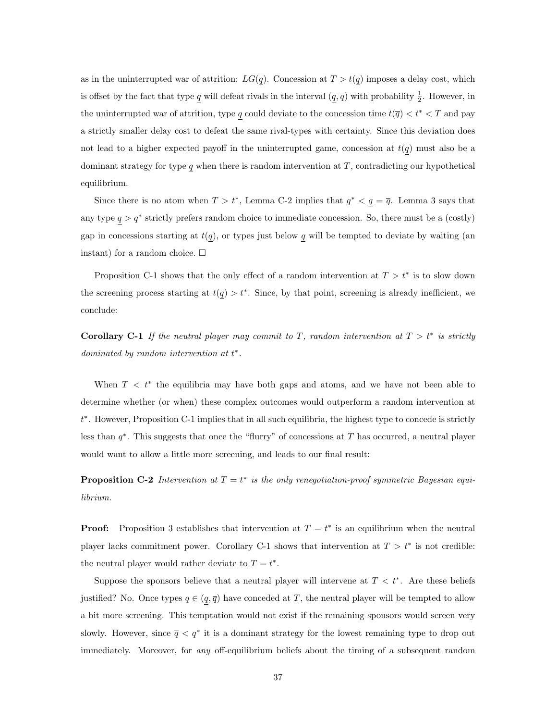as in the uninterrupted war of attrition:  $LG(q)$ . Concession at  $T > t(q)$  imposes a delay cost, which is offset by the fact that type  $\underline{q}$  will defeat rivals in the interval  $(\underline{q}, \overline{q})$  with probability  $\frac{1}{2}$ . However, in the uninterrupted war of attrition, type q could deviate to the concession time  $t(\overline{q}) < t^* < T$  and pay a strictly smaller delay cost to defeat the same rival-types with certainty. Since this deviation does not lead to a higher expected payoff in the uninterrupted game, concession at  $t(q)$  must also be a dominant strategy for type  $q$  when there is random intervention at  $T$ , contradicting our hypothetical equilibrium.

Since there is no atom when  $T > t^*$ , Lemma C-2 implies that  $q^* < q = \overline{q}$ . Lemma 3 says that any type  $q > q^*$  strictly prefers random choice to immediate concession. So, there must be a (costly) gap in concessions starting at  $t(q)$ , or types just below q will be tempted to deviate by waiting (an instant) for a random choice.  $\Box$ 

Proposition C-1 shows that the only effect of a random intervention at  $T > t^*$  is to slow down the screening process starting at  $t(q) > t^*$ . Since, by that point, screening is already inefficient, we conclude:

Corollary C-1 If the neutral player may commit to T, random intervention at  $T > t^*$  is strictly dominated by random intervention at  $t^*$ .

When  $T < t^*$  the equilibria may have both gaps and atoms, and we have not been able to determine whether (or when) these complex outcomes would outperform a random intervention at t ∗ . However, Proposition C-1 implies that in all such equilibria, the highest type to concede is strictly less than  $q^*$ . This suggests that once the "flurry" of concessions at T has occurred, a neutral player would want to allow a little more screening, and leads to our final result:

**Proposition C-2** Intervention at  $T = t^*$  is the only renegotiation-proof symmetric Bayesian equilibrium.

**Proof:** Proposition 3 establishes that intervention at  $T = t^*$  is an equilibrium when the neutral player lacks commitment power. Corollary C-1 shows that intervention at  $T > t^*$  is not credible: the neutral player would rather deviate to  $T = t^*$ .

Suppose the sponsors believe that a neutral player will intervene at  $T < t^*$ . Are these beliefs justified? No. Once types  $q \in (q, \overline{q})$  have conceded at T, the neutral player will be tempted to allow a bit more screening. This temptation would not exist if the remaining sponsors would screen very slowly. However, since  $\bar{q} < q^*$  it is a dominant strategy for the lowest remaining type to drop out immediately. Moreover, for any off-equilibrium beliefs about the timing of a subsequent random